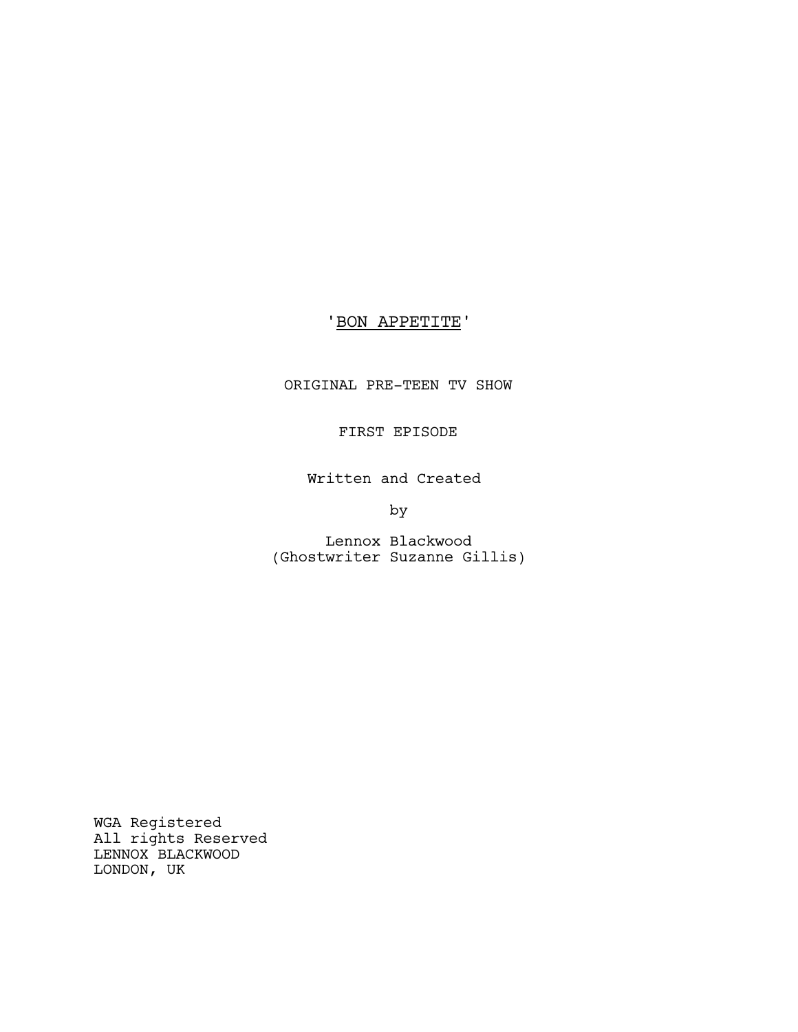# 'BON APPETITE'

ORIGINAL PRE-TEEN TV SHOW

# FIRST EPISODE

Written and Created

by

Lennox Blackwood (Ghostwriter Suzanne Gillis)

WGA Registered All rights Reserved LENNOX BLACKWOOD LONDON, UK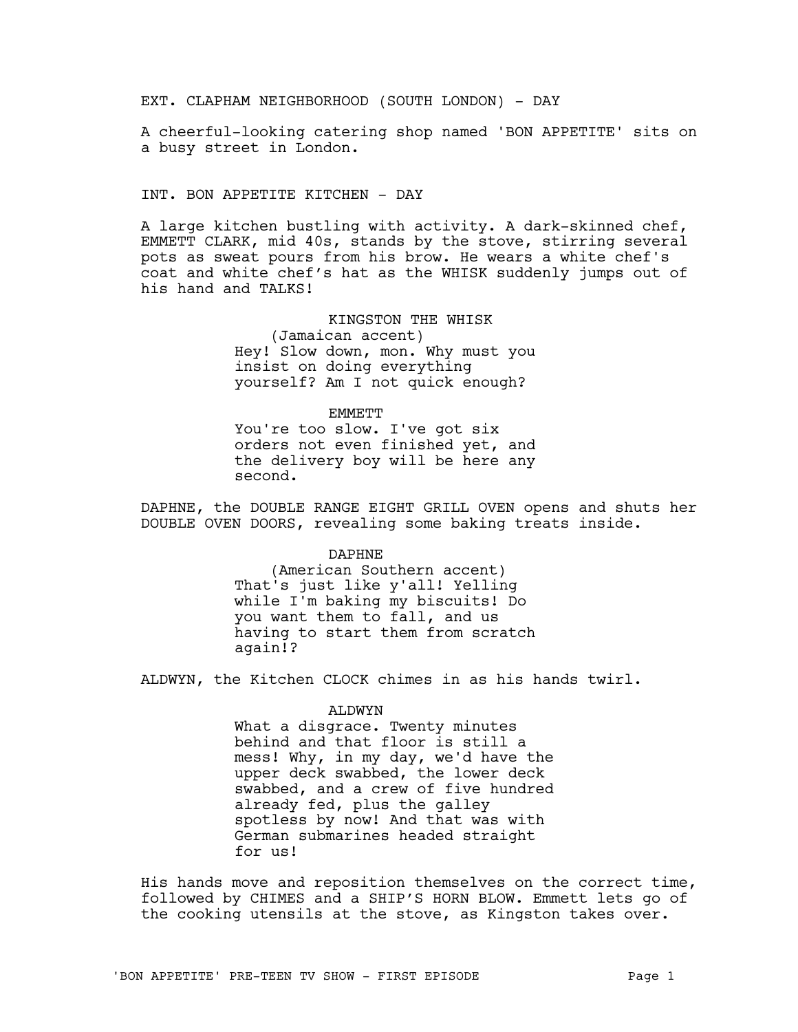EXT. CLAPHAM NEIGHBORHOOD (SOUTH LONDON) - DAY

A cheerful-looking catering shop named 'BON APPETITE' sits on a busy street in London.

INT. BON APPETITE KITCHEN - DAY

second.

A large kitchen bustling with activity. A dark-skinned chef, EMMETT CLARK, mid 40s, stands by the stove, stirring several pots as sweat pours from his brow. He wears a white chef's coat and white chef's hat as the WHISK suddenly jumps out of his hand and TALKS!

> KINGSTON THE WHISK (Jamaican accent) Hey! Slow down, mon. Why must you insist on doing everything yourself? Am I not quick enough?

EMMETT You're too slow. I've got six orders not even finished yet, and the delivery boy will be here any

DAPHNE, the DOUBLE RANGE EIGHT GRILL OVEN opens and shuts her DOUBLE OVEN DOORS, revealing some baking treats inside.

DAPHNE

(American Southern accent) That's just like y'all! Yelling while I'm baking my biscuits! Do you want them to fall, and us having to start them from scratch again!?

ALDWYN, the Kitchen CLOCK chimes in as his hands twirl.

#### ALDWYN

What a disgrace. Twenty minutes behind and that floor is still a mess! Why, in my day, we'd have the upper deck swabbed, the lower deck swabbed, and a crew of five hundred already fed, plus the galley spotless by now! And that was with German submarines headed straight for us!

His hands move and reposition themselves on the correct time, followed by CHIMES and a SHIP'S HORN BLOW. Emmett lets go of the cooking utensils at the stove, as Kingston takes over.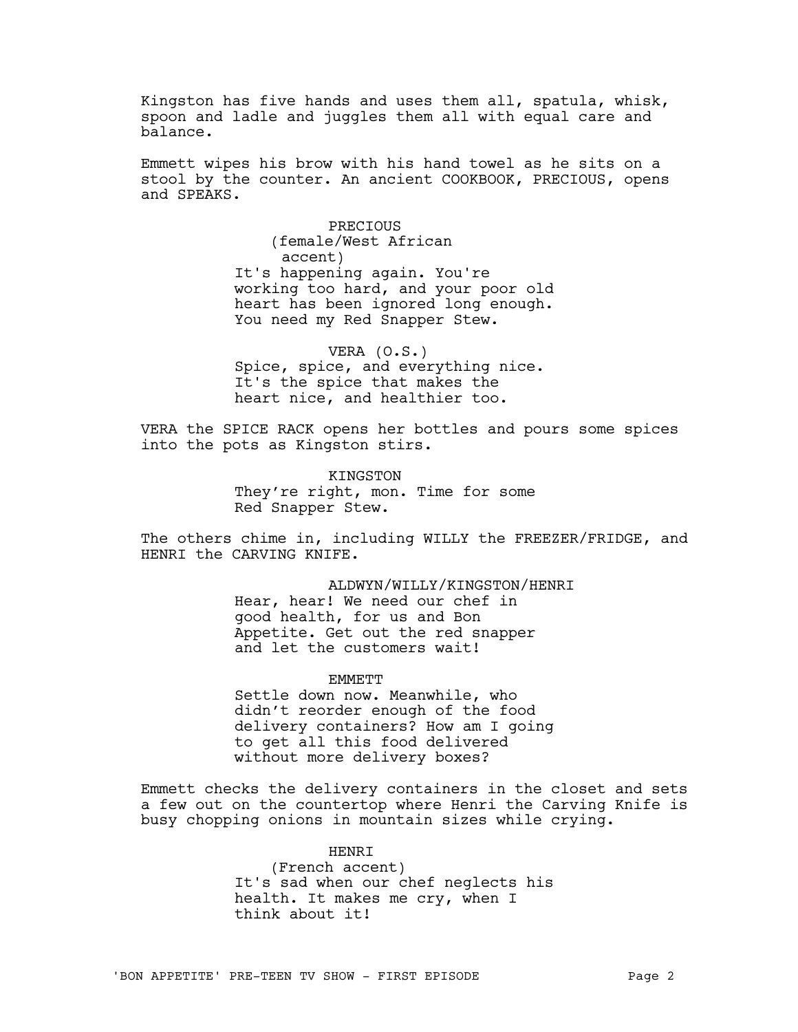Kingston has five hands and uses them all, spatula, whisk, spoon and ladle and juggles them all with equal care and balance.

Emmett wipes his brow with his hand towel as he sits on a stool by the counter. An ancient COOKBOOK, PRECIOUS, opens and SPEAKS.

> PRECIOUS (female/West African accent) It's happening again. You're working too hard, and your poor old heart has been ignored long enough. You need my Red Snapper Stew.

VERA (O.S.) Spice, spice, and everything nice. It's the spice that makes the heart nice, and healthier too.

VERA the SPICE RACK opens her bottles and pours some spices into the pots as Kingston stirs.

> **KINGSTON** They're right, mon. Time for some Red Snapper Stew.

The others chime in, including WILLY the FREEZER/FRIDGE, and HENRI the CARVING KNIFE.

> ALDWYN/WILLY/KINGSTON/HENRI Hear, hear! We need our chef in good health, for us and Bon Appetite. Get out the red snapper and let the customers wait!

> > **EMMETT**

Settle down now. Meanwhile, who didn't reorder enough of the food delivery containers? How am I going to get all this food delivered without more delivery boxes?

Emmett checks the delivery containers in the closet and sets a few out on the countertop where Henri the Carving Knife is busy chopping onions in mountain sizes while crying.

> HENRI (French accent) It's sad when our chef neglects his health. It makes me cry, when I think about it!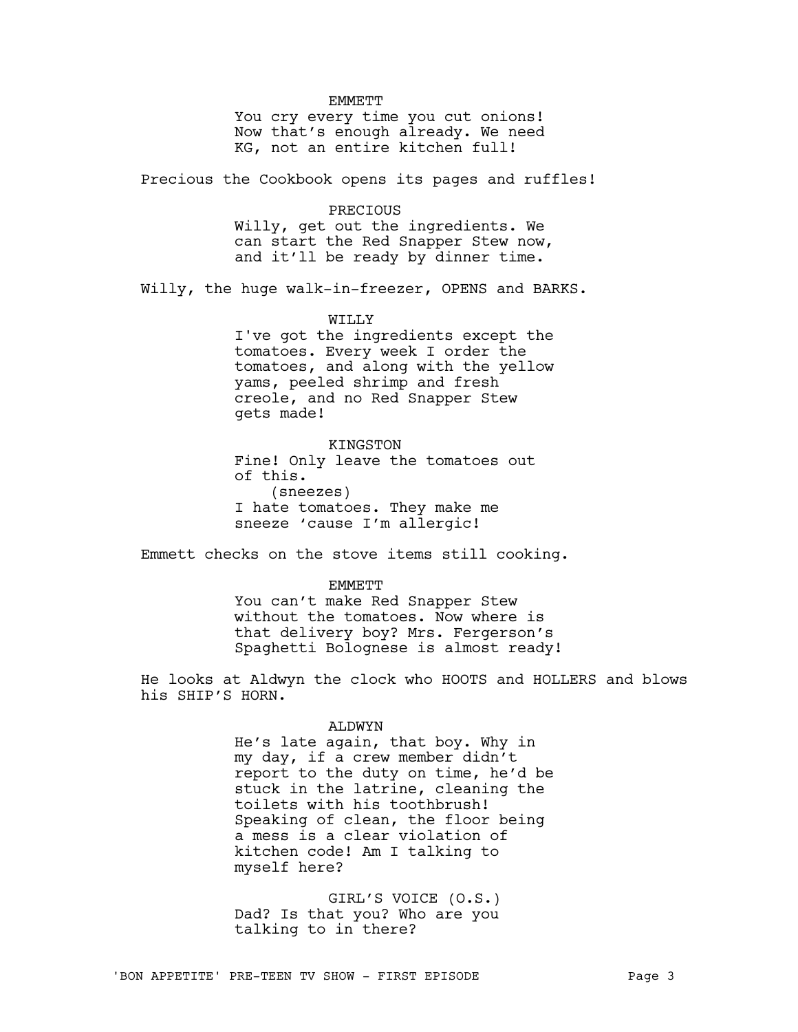#### **EMMETT**

You cry every time you cut onions! Now that's enough already. We need KG, not an entire kitchen full!

Precious the Cookbook opens its pages and ruffles!

### PRECIOUS

Willy, get out the ingredients. We can start the Red Snapper Stew now, and it'll be ready by dinner time.

Willy, the huge walk-in-freezer, OPENS and BARKS.

### WILLY

I've got the ingredients except the tomatoes. Every week I order the tomatoes, and along with the yellow yams, peeled shrimp and fresh creole, and no Red Snapper Stew gets made!

**KINGSTON** Fine! Only leave the tomatoes out of this. (sneezes) I hate tomatoes. They make me sneeze 'cause I'm allergic!

Emmett checks on the stove items still cooking.

**EMMETT** You can't make Red Snapper Stew without the tomatoes. Now where is that delivery boy? Mrs. Fergerson's Spaghetti Bolognese is almost ready!

He looks at Aldwyn the clock who HOOTS and HOLLERS and blows his SHIP'S HORN.

#### ALDWYN

He's late again, that boy. Why in my day, if a crew member didn't report to the duty on time, he'd be stuck in the latrine, cleaning the toilets with his toothbrush! Speaking of clean, the floor being a mess is a clear violation of kitchen code! Am I talking to myself here?

GIRL'S VOICE (O.S.) Dad? Is that you? Who are you talking to in there?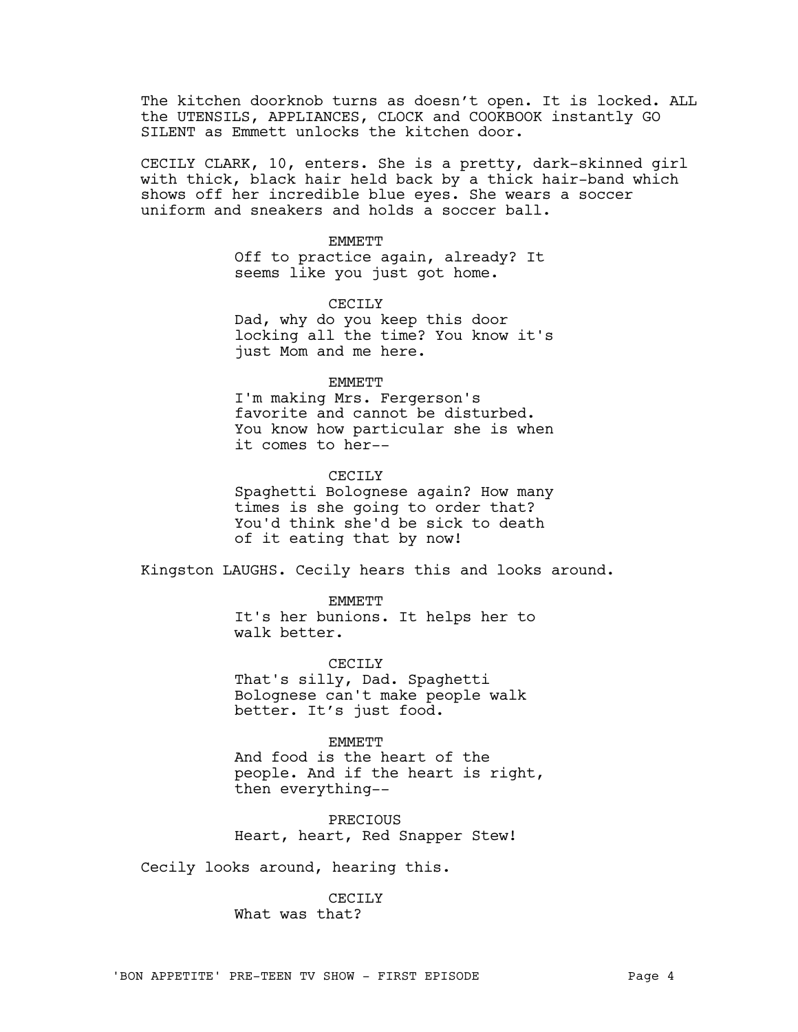The kitchen doorknob turns as doesn't open. It is locked. ALL the UTENSILS, APPLIANCES, CLOCK and COOKBOOK instantly GO SILENT as Emmett unlocks the kitchen door.

CECILY CLARK, 10, enters. She is a pretty, dark-skinned girl with thick, black hair held back by a thick hair-band which shows off her incredible blue eyes. She wears a soccer uniform and sneakers and holds a soccer ball.

#### **EMMETT**

Off to practice again, already? It seems like you just got home.

CECTLY

Dad, why do you keep this door locking all the time? You know it's just Mom and me here.

#### EMMETT

I'm making Mrs. Fergerson's favorite and cannot be disturbed. You know how particular she is when it comes to her--

#### CECTLY

Spaghetti Bolognese again? How many times is she going to order that? You'd think she'd be sick to death of it eating that by now!

Kingston LAUGHS. Cecily hears this and looks around.

EMMETT

It's her bunions. It helps her to walk better.

CECILY

That's silly, Dad. Spaghetti Bolognese can't make people walk better. It's just food.

### **EMMETT**

And food is the heart of the people. And if the heart is right, then everything--

PRECIOUS Heart, heart, Red Snapper Stew!

Cecily looks around, hearing this.

## CECILY

What was that?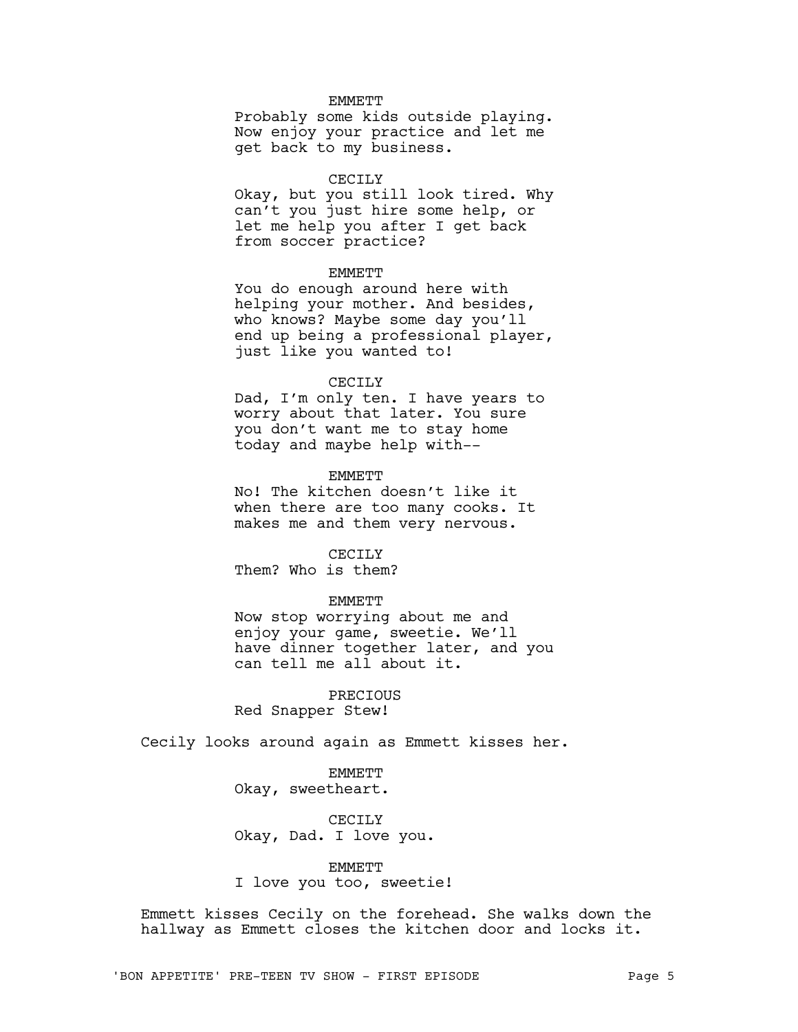# **EMMETT**

Probably some kids outside playing. Now enjoy your practice and let me get back to my business.

## CECILY

Okay, but you still look tired. Why can't you just hire some help, or let me help you after I get back from soccer practice?

# **EMMETT**

You do enough around here with helping your mother. And besides, who knows? Maybe some day you'll end up being a professional player, just like you wanted to!

### CECILY

Dad, I'm only ten. I have years to worry about that later. You sure you don't want me to stay home today and maybe help with--

#### **EMMETT**

No! The kitchen doesn't like it when there are too many cooks. It makes me and them very nervous.

## CECILY

Them? Who is them?

# EMMETT

Now stop worrying about me and enjoy your game, sweetie. We'll have dinner together later, and you can tell me all about it.

PRECIOUS Red Snapper Stew!

Cecily looks around again as Emmett kisses her.

EMMETT Okay, sweetheart.

CECILY Okay, Dad. I love you.

# EMMETT

I love you too, sweetie!

Emmett kisses Cecily on the forehead. She walks down the hallway as Emmett closes the kitchen door and locks it.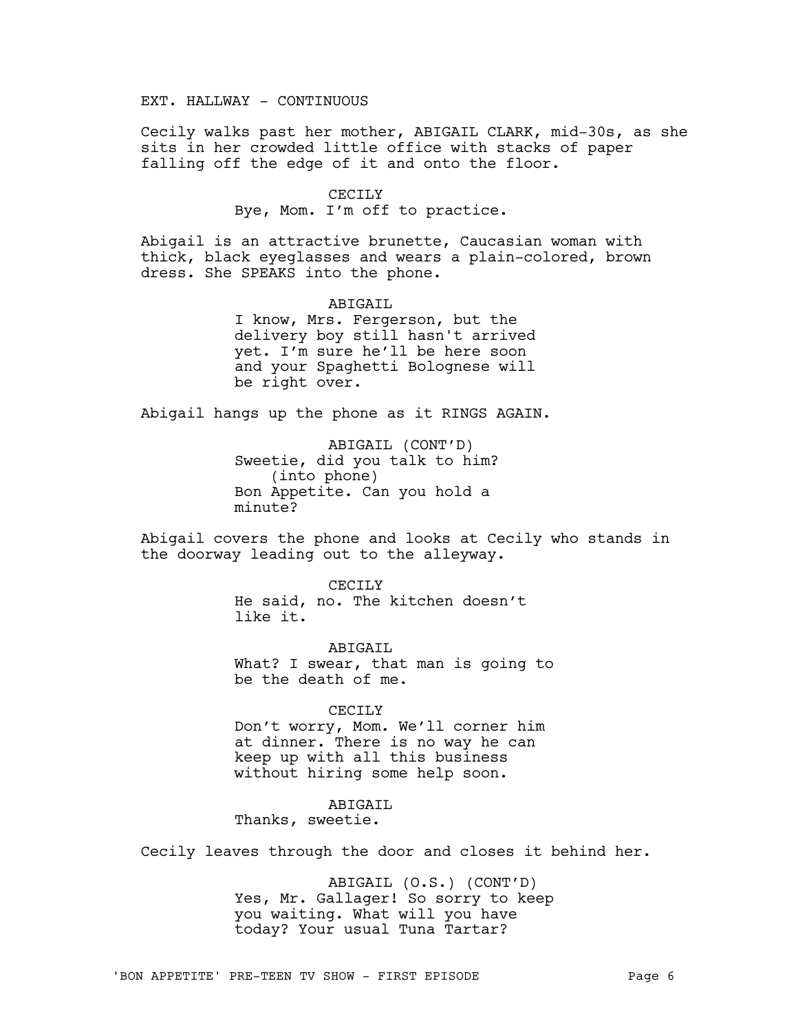EXT. HALLWAY - CONTINUOUS

Cecily walks past her mother, ABIGAIL CLARK, mid-30s, as she sits in her crowded little office with stacks of paper falling off the edge of it and onto the floor.

### CECILY

Bye, Mom. I'm off to practice.

Abigail is an attractive brunette, Caucasian woman with thick, black eyeglasses and wears a plain-colored, brown dress. She SPEAKS into the phone.

> ABIGAIL I know, Mrs. Fergerson, but the delivery boy still hasn't arrived yet. I'm sure he'll be here soon and your Spaghetti Bolognese will be right over.

Abigail hangs up the phone as it RINGS AGAIN.

ABIGAIL (CONT'D) Sweetie, did you talk to him? (into phone) Bon Appetite. Can you hold a minute?

Abigail covers the phone and looks at Cecily who stands in the doorway leading out to the alleyway.

> CECILY He said, no. The kitchen doesn't like it.

ABTGATL What? I swear, that man is going to be the death of me.

#### CECILY

Don't worry, Mom. We'll corner him at dinner. There is no way he can keep up with all this business without hiring some help soon.

# ABIGAIL

Thanks, sweetie.

Cecily leaves through the door and closes it behind her.

ABIGAIL (O.S.) (CONT'D) Yes, Mr. Gallager! So sorry to keep you waiting. What will you have today? Your usual Tuna Tartar?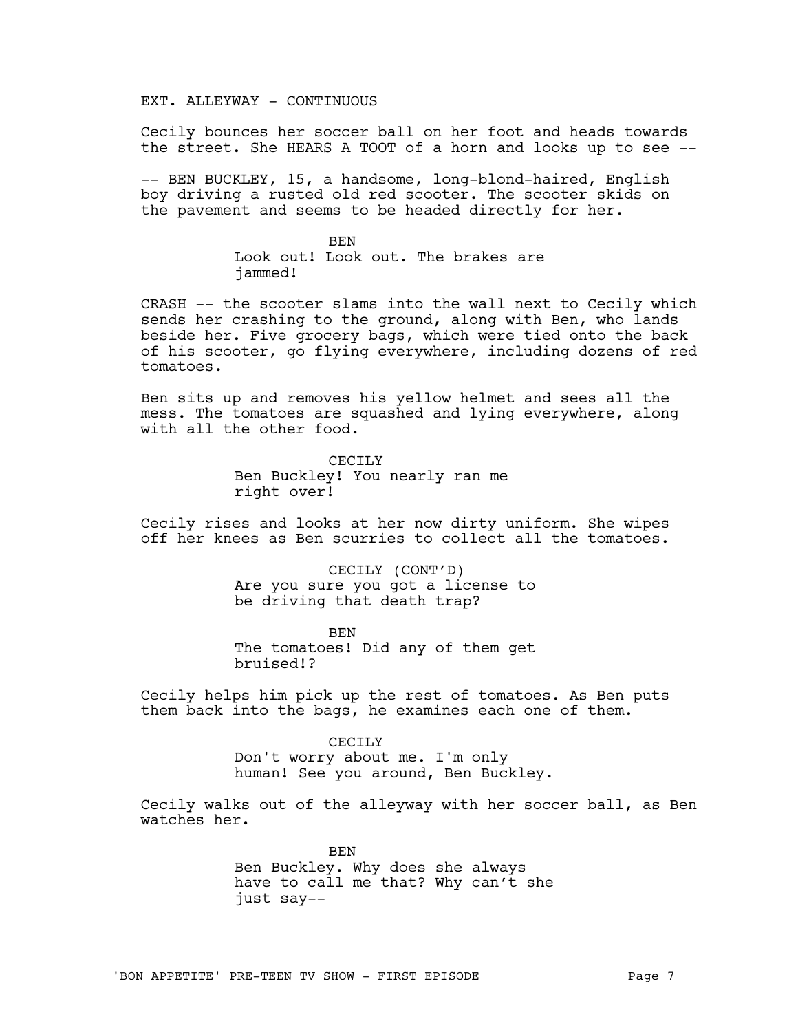EXT. ALLEYWAY - CONTINUOUS

Cecily bounces her soccer ball on her foot and heads towards the street. She HEARS A TOOT of a horn and looks up to see --

-- BEN BUCKLEY, 15, a handsome, long-blond-haired, English boy driving a rusted old red scooter. The scooter skids on the pavement and seems to be headed directly for her.

> BEN Look out! Look out. The brakes are jammed!

CRASH -- the scooter slams into the wall next to Cecily which sends her crashing to the ground, along with Ben, who lands beside her. Five grocery bags, which were tied onto the back of his scooter, go flying everywhere, including dozens of red tomatoes.

Ben sits up and removes his yellow helmet and sees all the mess. The tomatoes are squashed and lying everywhere, along with all the other food.

> CECILY Ben Buckley! You nearly ran me right over!

Cecily rises and looks at her now dirty uniform. She wipes off her knees as Ben scurries to collect all the tomatoes.

> CECILY (CONT'D) Are you sure you got a license to be driving that death trap?

> BEN The tomatoes! Did any of them get bruised!?

Cecily helps him pick up the rest of tomatoes. As Ben puts them back into the bags, he examines each one of them.

> CECILY Don't worry about me. I'm only human! See you around, Ben Buckley.

Cecily walks out of the alleyway with her soccer ball, as Ben watches her.

> BEN Ben Buckley. Why does she always have to call me that? Why can't she just say--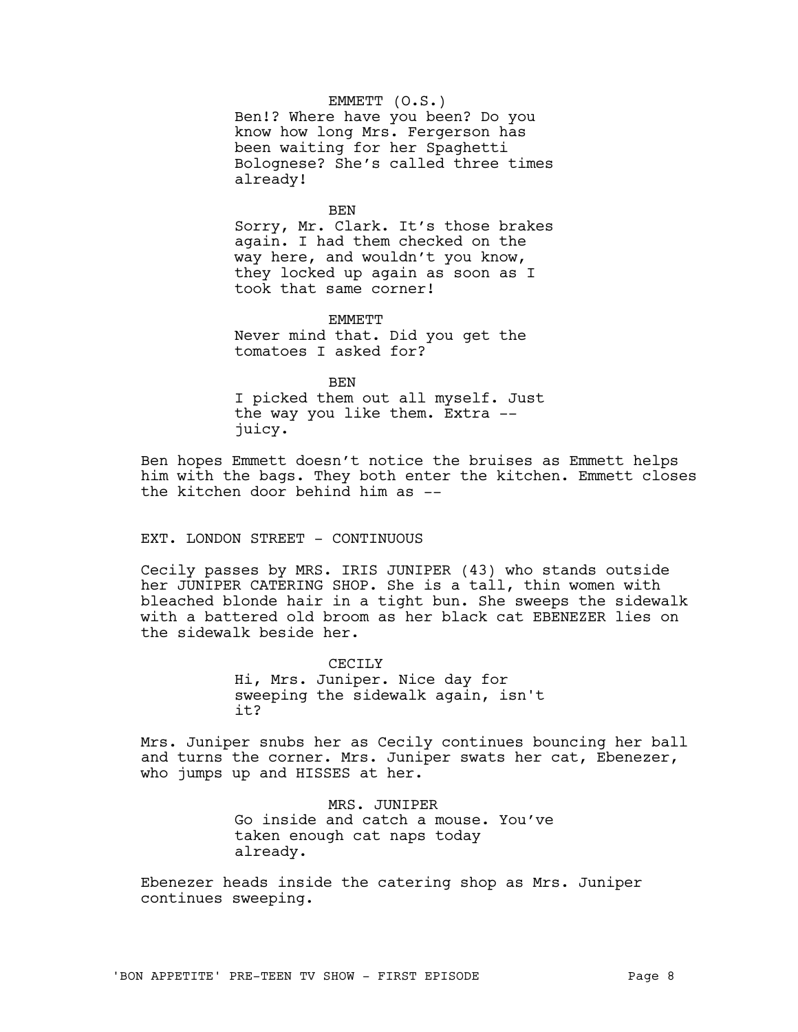EMMETT (O.S.)

Ben!? Where have you been? Do you know how long Mrs. Fergerson has been waiting for her Spaghetti Bolognese? She's called three times already!

BEN

Sorry, Mr. Clark. It's those brakes again. I had them checked on the way here, and wouldn't you know, they locked up again as soon as I took that same corner!

**EMMETT** Never mind that. Did you get the tomatoes I asked for?

BEN

I picked them out all myself. Just the way you like them. Extra - juicy.

Ben hopes Emmett doesn't notice the bruises as Emmett helps him with the bags. They both enter the kitchen. Emmett closes the kitchen door behind him as --

# EXT. LONDON STREET - CONTINUOUS

Cecily passes by MRS. IRIS JUNIPER (43) who stands outside her JUNIPER CATERING SHOP. She is a tall, thin women with bleached blonde hair in a tight bun. She sweeps the sidewalk with a battered old broom as her black cat EBENEZER lies on the sidewalk beside her.

> CECILY Hi, Mrs. Juniper. Nice day for sweeping the sidewalk again, isn't it?

Mrs. Juniper snubs her as Cecily continues bouncing her ball and turns the corner. Mrs. Juniper swats her cat, Ebenezer, who jumps up and HISSES at her.

> MRS. JUNIPER Go inside and catch a mouse. You've taken enough cat naps today already.

Ebenezer heads inside the catering shop as Mrs. Juniper continues sweeping.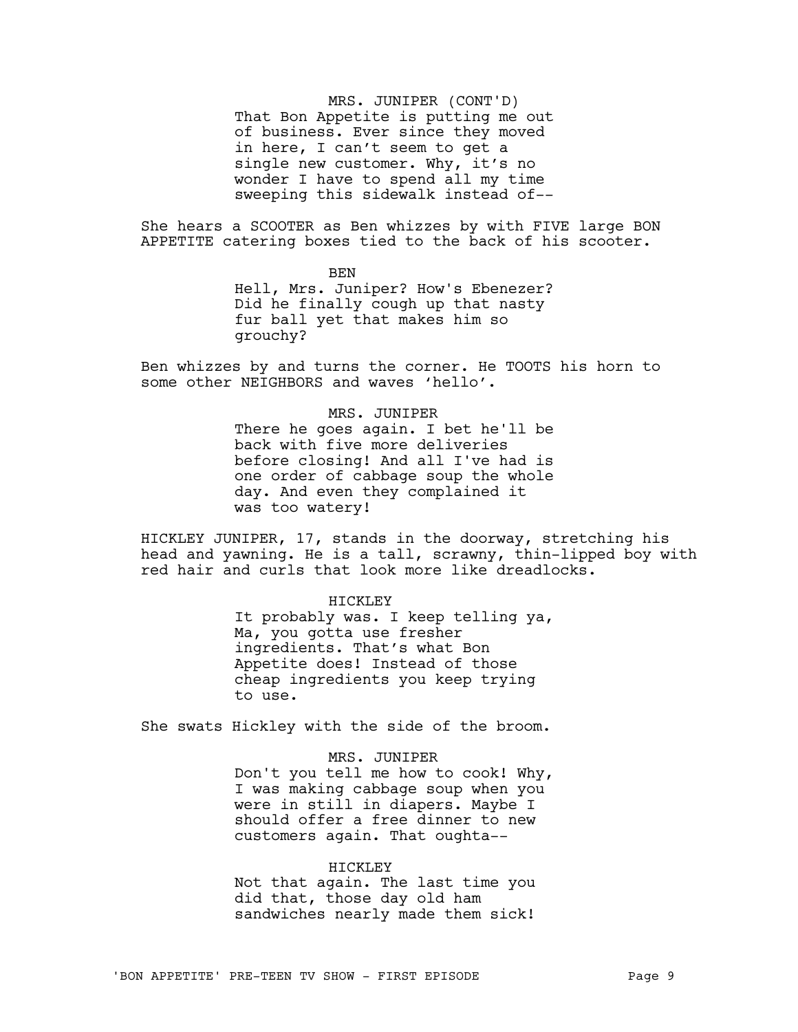MRS. JUNIPER (CONT'D) That Bon Appetite is putting me out of business. Ever since they moved in here, I can't seem to get a single new customer. Why, it's no wonder I have to spend all my time sweeping this sidewalk instead of--

She hears a SCOOTER as Ben whizzes by with FIVE large BON APPETITE catering boxes tied to the back of his scooter.

> BEN Hell, Mrs. Juniper? How's Ebenezer? Did he finally cough up that nasty fur ball yet that makes him so grouchy?

Ben whizzes by and turns the corner. He TOOTS his horn to some other NEIGHBORS and waves 'hello'.

> MRS. JUNIPER There he goes again. I bet he'll be back with five more deliveries before closing! And all I've had is one order of cabbage soup the whole day. And even they complained it was too watery!

HICKLEY JUNIPER, 17, stands in the doorway, stretching his head and yawning. He is a tall, scrawny, thin-lipped boy with red hair and curls that look more like dreadlocks.

#### HICKLEY

It probably was. I keep telling ya, Ma, you gotta use fresher ingredients. That's what Bon Appetite does! Instead of those cheap ingredients you keep trying to use.

She swats Hickley with the side of the broom.

MRS. JUNIPER Don't you tell me how to cook! Why, I was making cabbage soup when you were in still in diapers. Maybe I should offer a free dinner to new customers again. That oughta--

### HICKLEY

Not that again. The last time you did that, those day old ham sandwiches nearly made them sick!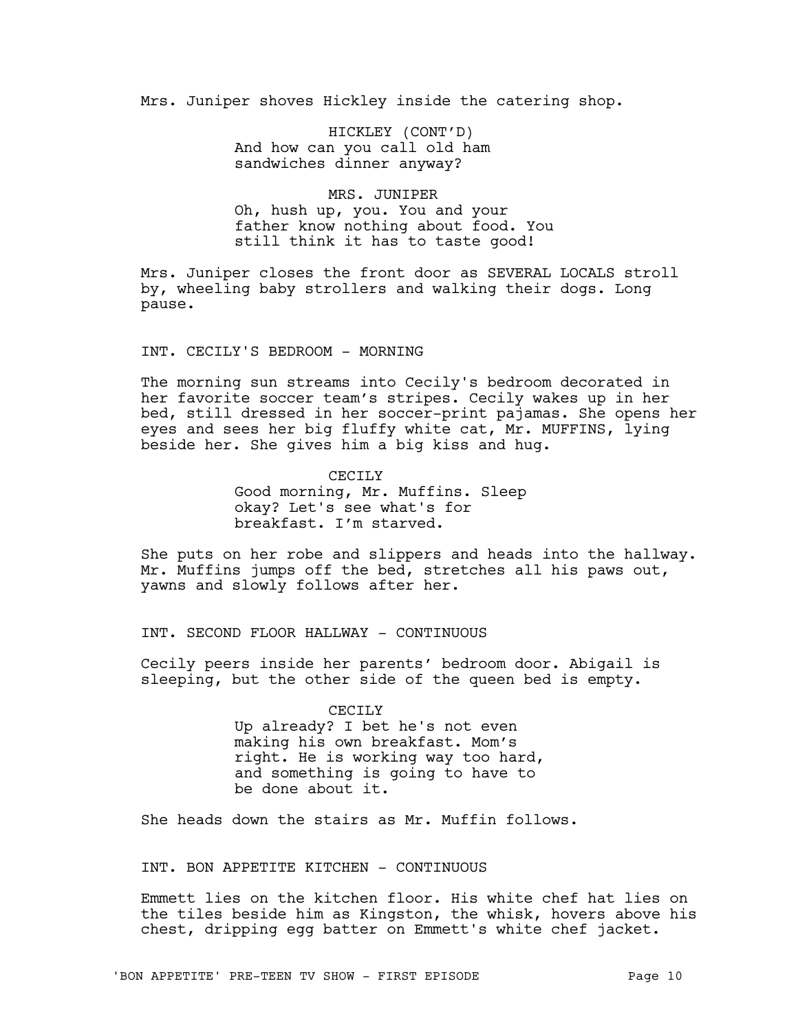Mrs. Juniper shoves Hickley inside the catering shop.

HICKLEY (CONT'D) And how can you call old ham sandwiches dinner anyway?

# MRS. JUNIPER Oh, hush up, you. You and your father know nothing about food. You still think it has to taste good!

Mrs. Juniper closes the front door as SEVERAL LOCALS stroll by, wheeling baby strollers and walking their dogs. Long pause.

INT. CECILY'S BEDROOM - MORNING

The morning sun streams into Cecily's bedroom decorated in her favorite soccer team's stripes. Cecily wakes up in her bed, still dressed in her soccer-print pajamas. She opens her eyes and sees her big fluffy white cat, Mr. MUFFINS, lying beside her. She gives him a big kiss and hug.

> CECTLY Good morning, Mr. Muffins. Sleep okay? Let's see what's for breakfast. I'm starved.

She puts on her robe and slippers and heads into the hallway. Mr. Muffins jumps off the bed, stretches all his paws out, yawns and slowly follows after her.

INT. SECOND FLOOR HALLWAY - CONTINUOUS

Cecily peers inside her parents' bedroom door. Abigail is sleeping, but the other side of the queen bed is empty.

> CECILY Up already? I bet he's not even making his own breakfast. Mom's right. He is working way too hard, and something is going to have to be done about it.

She heads down the stairs as Mr. Muffin follows.

INT. BON APPETITE KITCHEN - CONTINUOUS

Emmett lies on the kitchen floor. His white chef hat lies on the tiles beside him as Kingston, the whisk, hovers above his chest, dripping egg batter on Emmett's white chef jacket.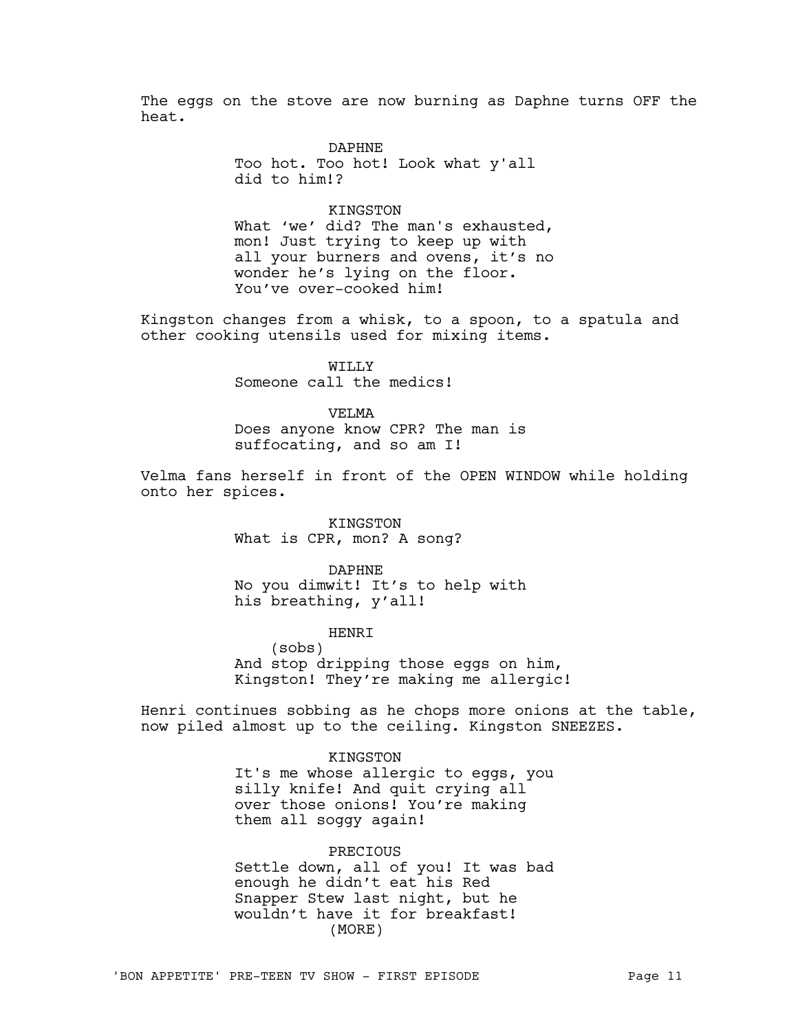The eggs on the stove are now burning as Daphne turns OFF the heat.

> DAPHNE Too hot. Too hot! Look what y'all did to him!?

KINGSTON What 'we' did? The man's exhausted, mon! Just trying to keep up with all your burners and ovens, it's no wonder he's lying on the floor. You've over-cooked him!

Kingston changes from a whisk, to a spoon, to a spatula and other cooking utensils used for mixing items.

> WILLY Someone call the medics!

VELMA Does anyone know CPR? The man is suffocating, and so am I!

Velma fans herself in front of the OPEN WINDOW while holding onto her spices.

> KINGSTON What is CPR, mon? A song?

DAPHNE No you dimwit! It's to help with his breathing, y'all!

HENRI (sobs) And stop dripping those eggs on him, Kingston! They're making me allergic!

Henri continues sobbing as he chops more onions at the table, now piled almost up to the ceiling. Kingston SNEEZES.

> KINGSTON It's me whose allergic to eggs, you silly knife! And quit crying all over those onions! You're making them all soggy again!

> PRECIOUS Settle down, all of you! It was bad enough he didn't eat his Red Snapper Stew last night, but he wouldn't have it for breakfast! (MORE)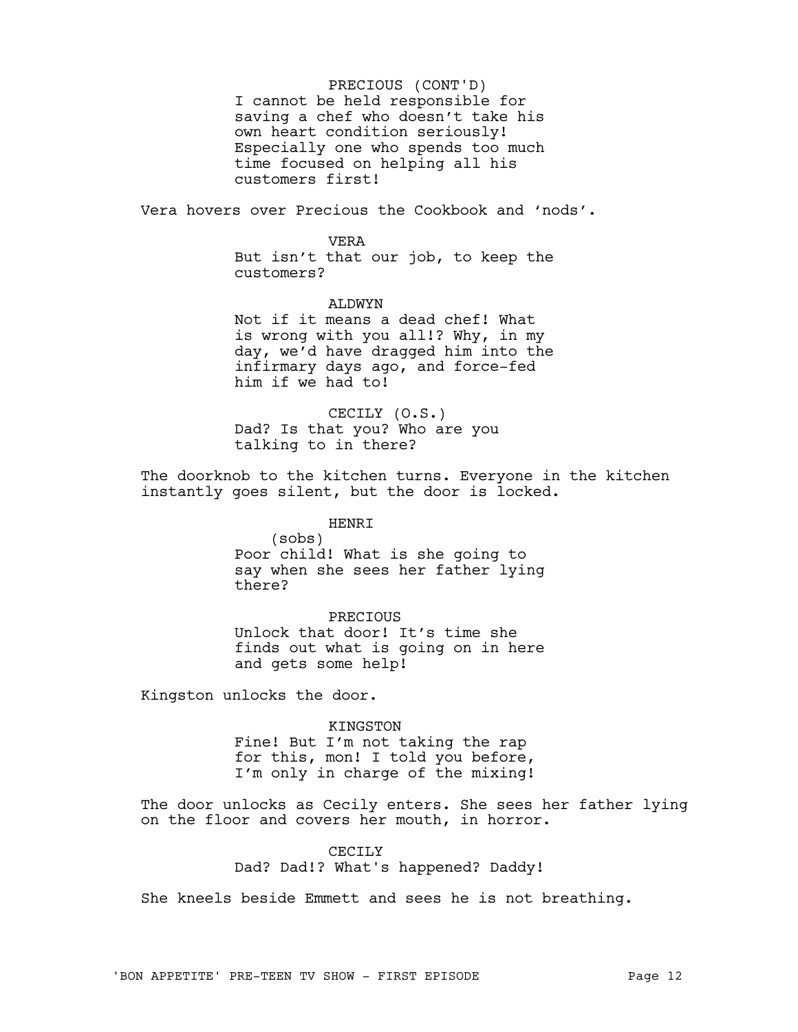I cannot be held responsible for saving a chef who doesn't take his own heart condition seriously! Especially one who spends too much time focused on helping all his customers first! PRECIOUS (CONT'D)

Vera hovers over Precious the Cookbook and 'nods'.

### VERA

But isn't that our job, to keep the customers?

#### ALDWYN

Not if it means a dead chef! What is wrong with you all!? Why, in my day, we'd have dragged him into the infirmary days ago, and force-fed him if we had to!

CECILY (O.S.) Dad? Is that you? Who are you talking to in there?

The doorknob to the kitchen turns. Everyone in the kitchen instantly goes silent, but the door is locked.

# HENRI

(sobs) Poor child! What is she going to say when she sees her father lying there?

# PRECIOUS

Unlock that door! It's time she finds out what is going on in here and gets some help!

Kingston unlocks the door.

### KINGSTON

Fine! But I'm not taking the rap for this, mon! I told you before, I'm only in charge of the mixing!

The door unlocks as Cecily enters. She sees her father lying on the floor and covers her mouth, in horror.

# CECILY

Dad? Dad!? What's happened? Daddy!

She kneels beside Emmett and sees he is not breathing.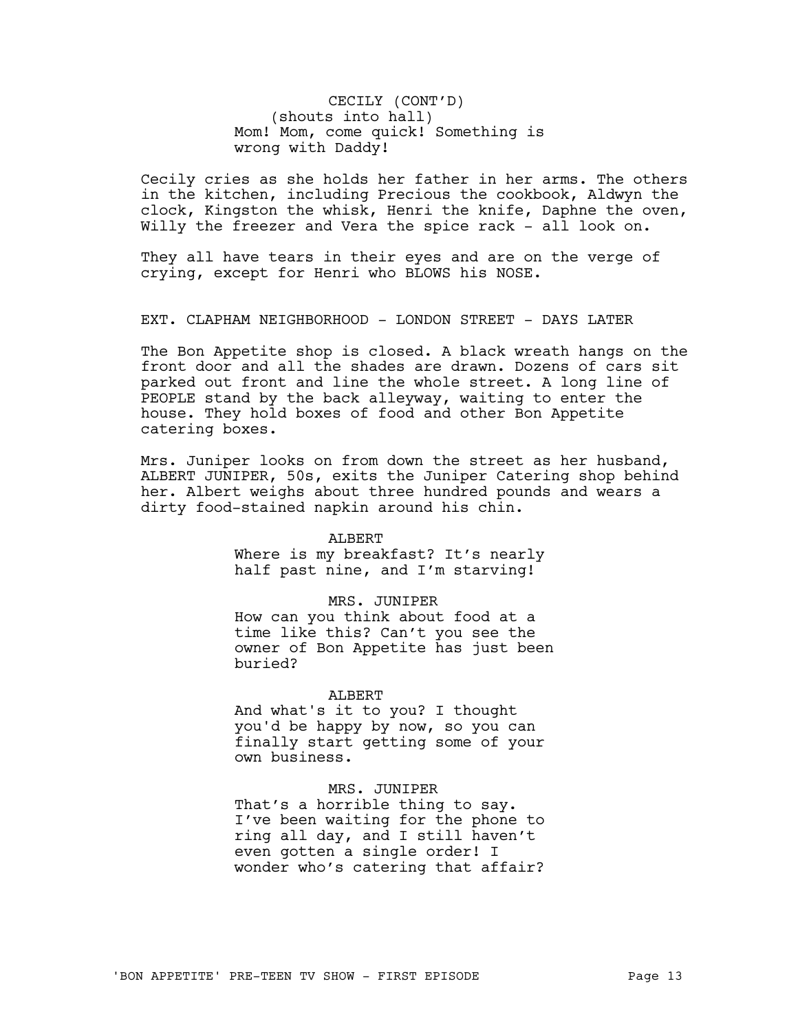CECILY (CONT'D) (shouts into hall) Mom! Mom, come quick! Something is wrong with Daddy!

Cecily cries as she holds her father in her arms. The others in the kitchen, including Precious the cookbook, Aldwyn the clock, Kingston the whisk, Henri the knife, Daphne the oven, Willy the freezer and Vera the spice rack - all look on.

They all have tears in their eyes and are on the verge of crying, except for Henri who BLOWS his NOSE.

EXT. CLAPHAM NEIGHBORHOOD - LONDON STREET - DAYS LATER

The Bon Appetite shop is closed. A black wreath hangs on the front door and all the shades are drawn. Dozens of cars sit parked out front and line the whole street. A long line of PEOPLE stand by the back alleyway, waiting to enter the house. They hold boxes of food and other Bon Appetite catering boxes.

Mrs. Juniper looks on from down the street as her husband, ALBERT JUNIPER, 50s, exits the Juniper Catering shop behind her. Albert weighs about three hundred pounds and wears a dirty food-stained napkin around his chin.

#### ALBERT

Where is my breakfast? It's nearly half past nine, and I'm starving!

# MRS. JUNIPER

How can you think about food at a time like this? Can't you see the owner of Bon Appetite has just been buried?

#### ALBERT

And what's it to you? I thought you'd be happy by now, so you can finally start getting some of your own business.

# MRS. JUNIPER

That's a horrible thing to say. I've been waiting for the phone to ring all day, and I still haven't even gotten a single order! I wonder who's catering that affair?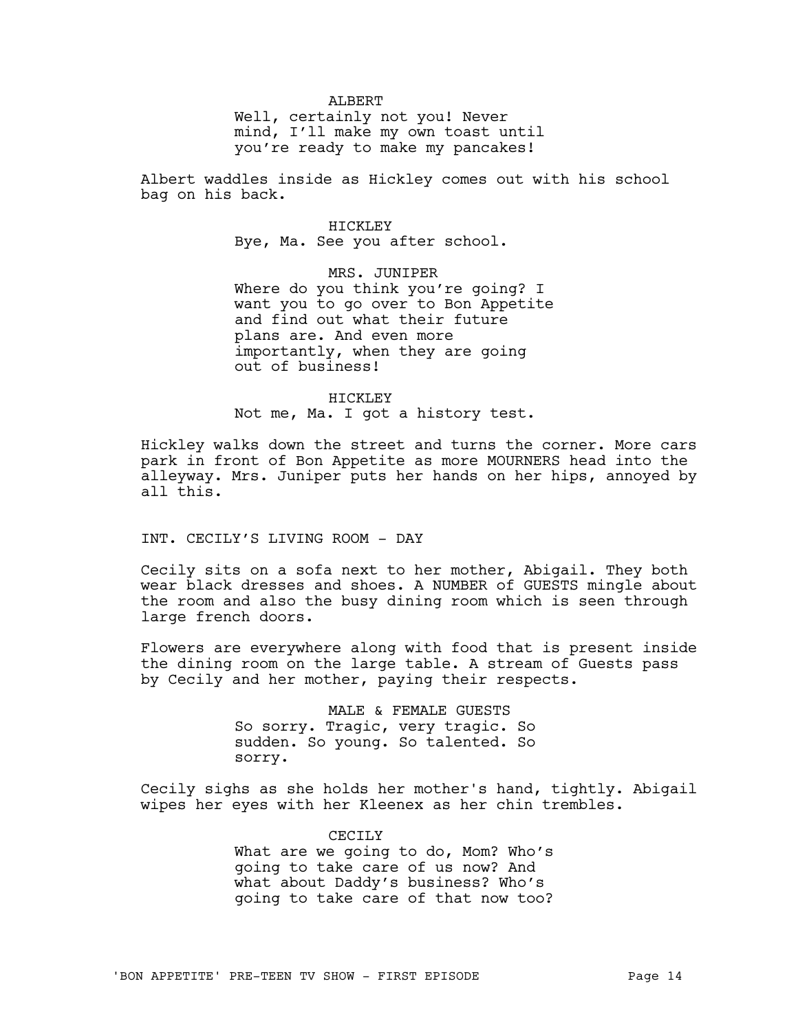ALBERT

Well, certainly not you! Never mind, I'll make my own toast until you're ready to make my pancakes!

Albert waddles inside as Hickley comes out with his school bag on his back.

> HICKLEY Bye, Ma. See you after school.

MRS. JUNIPER Where do you think you're going? I want you to go over to Bon Appetite and find out what their future plans are. And even more importantly, when they are going out of business!

HTCKLEY Not me, Ma. I got a history test.

Hickley walks down the street and turns the corner. More cars park in front of Bon Appetite as more MOURNERS head into the alleyway. Mrs. Juniper puts her hands on her hips, annoyed by all this.

INT. CECILY'S LIVING ROOM - DAY

Cecily sits on a sofa next to her mother, Abigail. They both wear black dresses and shoes. A NUMBER of GUESTS mingle about the room and also the busy dining room which is seen through large french doors.

Flowers are everywhere along with food that is present inside the dining room on the large table. A stream of Guests pass by Cecily and her mother, paying their respects.

> MALE & FEMALE GUESTS So sorry. Tragic, very tragic. So sudden. So young. So talented. So sorry.

Cecily sighs as she holds her mother's hand, tightly. Abigail wipes her eyes with her Kleenex as her chin trembles.

> CECTLY What are we going to do, Mom? Who's going to take care of us now? And what about Daddy's business? Who's going to take care of that now too?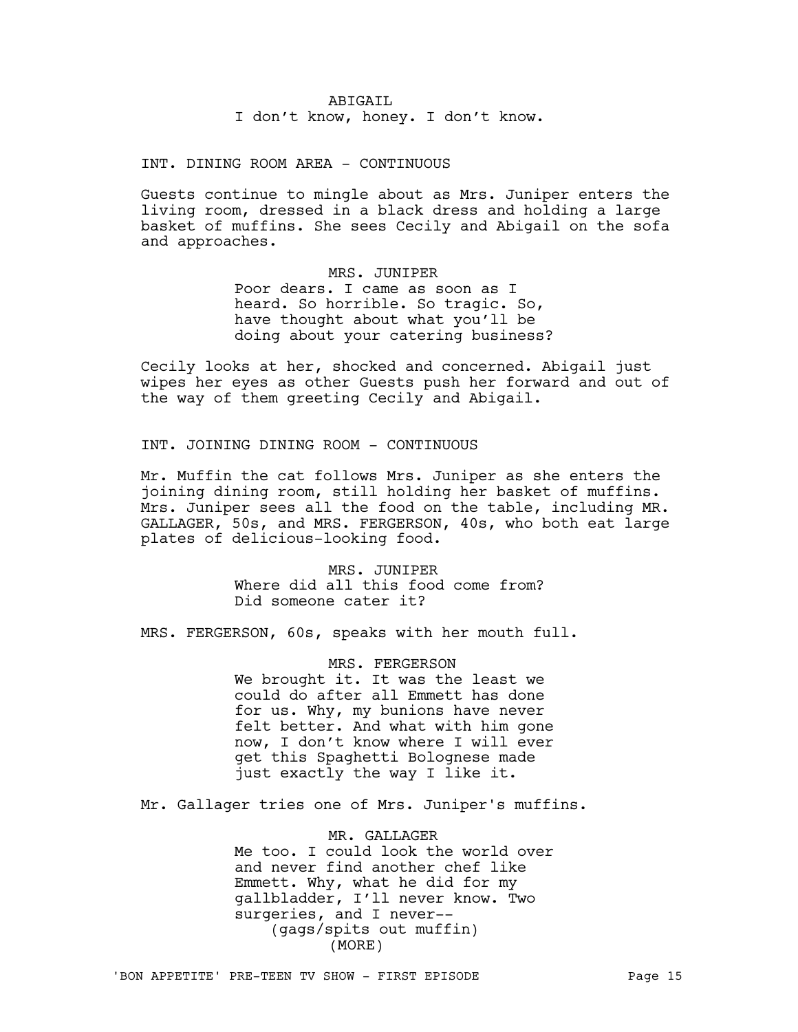# ABIGAIL I don't know, honey. I don't know.

INT. DINING ROOM AREA - CONTINUOUS

Guests continue to mingle about as Mrs. Juniper enters the living room, dressed in a black dress and holding a large basket of muffins. She sees Cecily and Abigail on the sofa and approaches.

> MRS. JUNIPER Poor dears. I came as soon as I heard. So horrible. So tragic. So, have thought about what you'll be doing about your catering business?

Cecily looks at her, shocked and concerned. Abigail just wipes her eyes as other Guests push her forward and out of the way of them greeting Cecily and Abigail.

INT. JOINING DINING ROOM - CONTINUOUS

Mr. Muffin the cat follows Mrs. Juniper as she enters the joining dining room, still holding her basket of muffins. Mrs. Juniper sees all the food on the table, including MR. GALLAGER, 50s, and MRS. FERGERSON, 40s, who both eat large plates of delicious-looking food.

> MRS. JUNIPER Where did all this food come from? Did someone cater it?

MRS. FERGERSON, 60s, speaks with her mouth full.

MRS. FERGERSON We brought it. It was the least we could do after all Emmett has done for us. Why, my bunions have never felt better. And what with him gone now, I don't know where I will ever get this Spaghetti Bolognese made just exactly the way I like it.

Mr. Gallager tries one of Mrs. Juniper's muffins.

MR. GALLAGER Me too. I could look the world over and never find another chef like Emmett. Why, what he did for my gallbladder, I'll never know. Two surgeries, and I never-- (gags/spits out muffin) (MORE)

'BON APPETITE' PRE-TEEN TV SHOW - FIRST EPISODE PAGE 15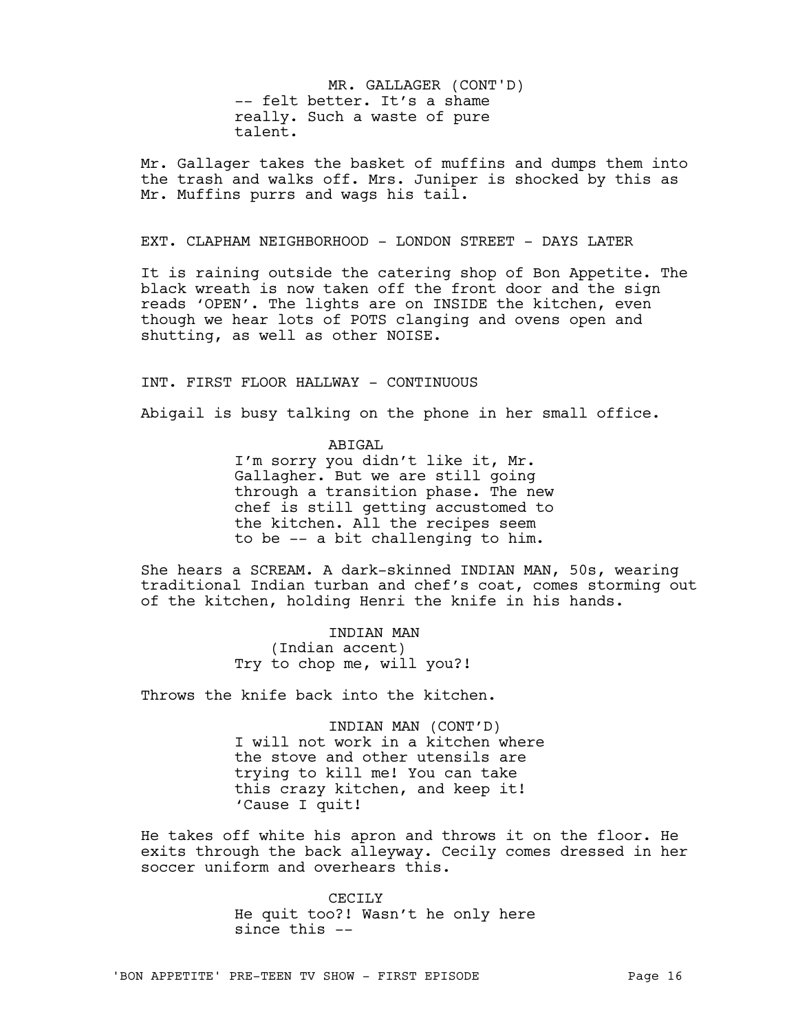-- felt better. It's a shame really. Such a waste of pure talent. MR. GALLAGER (CONT'D)

Mr. Gallager takes the basket of muffins and dumps them into the trash and walks off. Mrs. Juniper is shocked by this as Mr. Muffins purrs and wags his tail.

# EXT. CLAPHAM NEIGHBORHOOD - LONDON STREET - DAYS LATER

It is raining outside the catering shop of Bon Appetite. The black wreath is now taken off the front door and the sign reads 'OPEN'. The lights are on INSIDE the kitchen, even though we hear lots of POTS clanging and ovens open and shutting, as well as other NOISE.

### INT. FIRST FLOOR HALLWAY - CONTINUOUS

Abigail is busy talking on the phone in her small office.

ABIGAL

I'm sorry you didn't like it, Mr. Gallagher. But we are still going through a transition phase. The new chef is still getting accustomed to the kitchen. All the recipes seem to be -- a bit challenging to him.

She hears a SCREAM. A dark-skinned INDIAN MAN, 50s, wearing traditional Indian turban and chef's coat, comes storming out of the kitchen, holding Henri the knife in his hands.

> INDIAN MAN (Indian accent) Try to chop me, will you?!

Throws the knife back into the kitchen.

INDIAN MAN (CONT'D) I will not work in a kitchen where the stove and other utensils are trying to kill me! You can take this crazy kitchen, and keep it! 'Cause I quit!

He takes off white his apron and throws it on the floor. He exits through the back alleyway. Cecily comes dressed in her soccer uniform and overhears this.

> CECILY He quit too?! Wasn't he only here since this --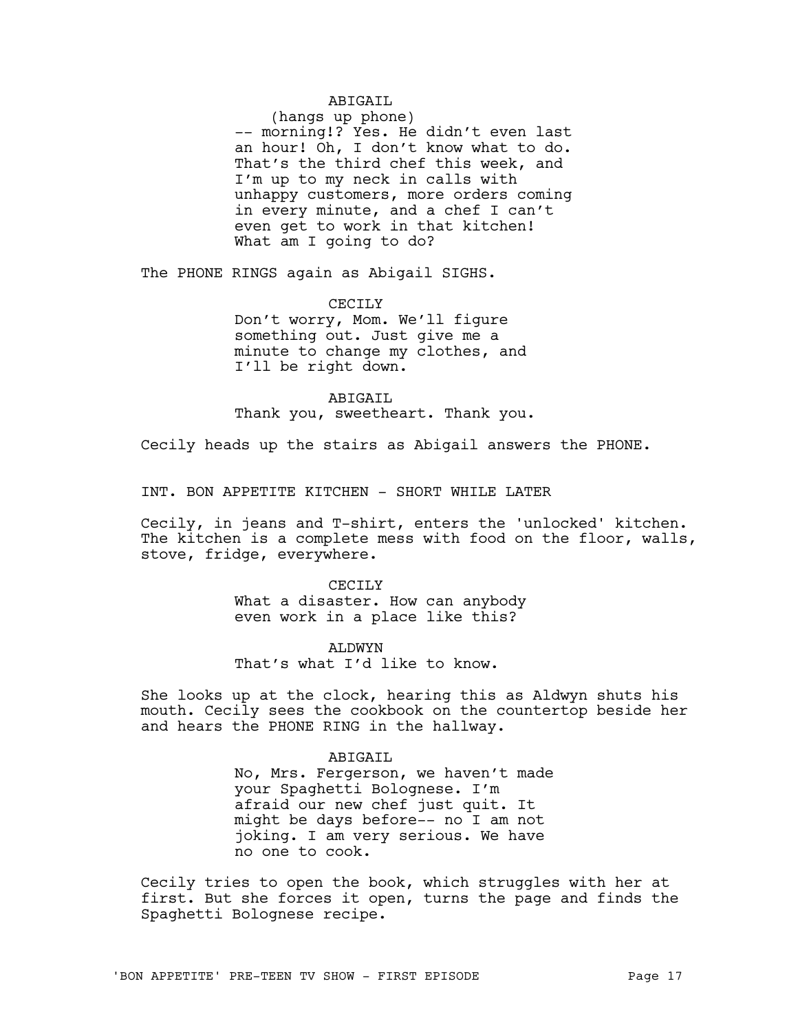# ABIGAIL

(hangs up phone) -- morning!? Yes. He didn't even last an hour! Oh, I don't know what to do. That's the third chef this week, and I'm up to my neck in calls with unhappy customers, more orders coming in every minute, and a chef I can't even get to work in that kitchen!

What am I going to do?

The PHONE RINGS again as Abigail SIGHS.

CECILY Don't worry, Mom. We'll figure something out. Just give me a minute to change my clothes, and I'll be right down.

ABIGAIL Thank you, sweetheart. Thank you.

Cecily heads up the stairs as Abigail answers the PHONE.

INT. BON APPETITE KITCHEN - SHORT WHILE LATER

Cecily, in jeans and T-shirt, enters the 'unlocked' kitchen. The kitchen is a complete mess with food on the floor, walls, stove, fridge, everywhere.

> CECTLY What a disaster. How can anybody even work in a place like this?

ALDWYN That's what I'd like to know.

She looks up at the clock, hearing this as Aldwyn shuts his mouth. Cecily sees the cookbook on the countertop beside her and hears the PHONE RING in the hallway.

> ABIGAIL No, Mrs. Fergerson, we haven't made your Spaghetti Bolognese. I'm afraid our new chef just quit. It might be days before-- no I am not joking. I am very serious. We have no one to cook.

Cecily tries to open the book, which struggles with her at first. But she forces it open, turns the page and finds the Spaghetti Bolognese recipe.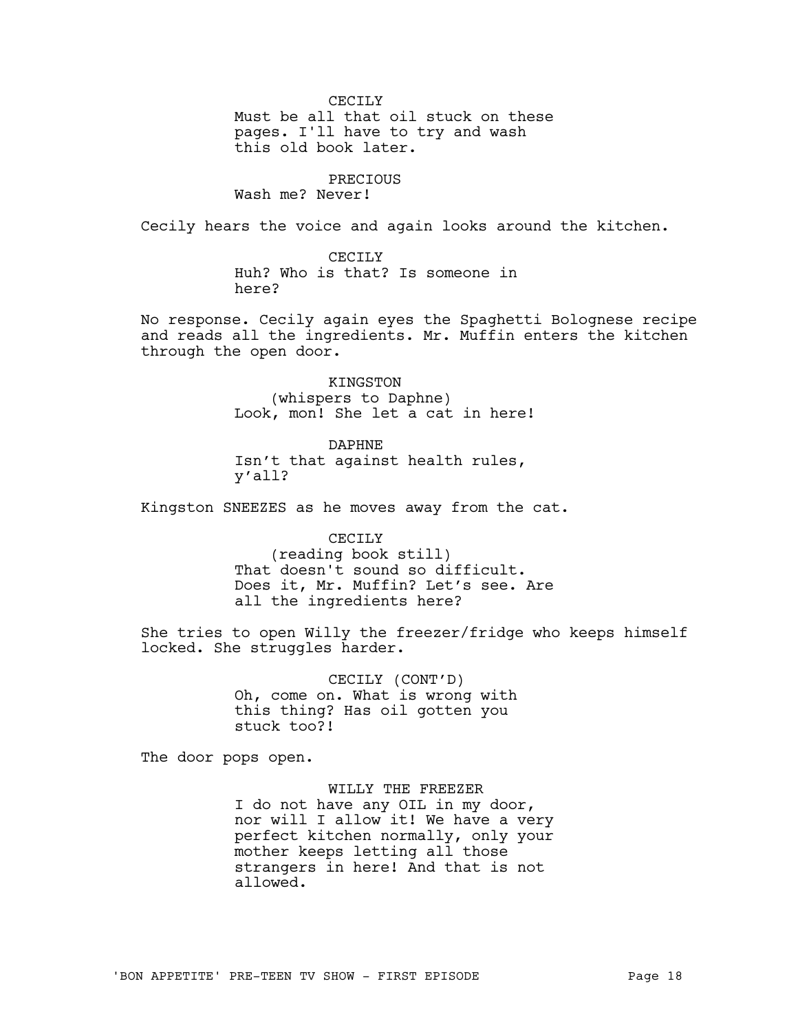CECTLY

Must be all that oil stuck on these pages. I'll have to try and wash this old book later.

# PRECIOUS Wash me? Never!

Cecily hears the voice and again looks around the kitchen.

CECILY Huh? Who is that? Is someone in here?

No response. Cecily again eyes the Spaghetti Bolognese recipe and reads all the ingredients. Mr. Muffin enters the kitchen through the open door.

> KINGSTON (whispers to Daphne) Look, mon! She let a cat in here!

DAPHNE Isn't that against health rules, y'all?

Kingston SNEEZES as he moves away from the cat.

### CECILY

(reading book still) That doesn't sound so difficult. Does it, Mr. Muffin? Let's see. Are all the ingredients here?

She tries to open Willy the freezer/fridge who keeps himself locked. She struggles harder.

> CECILY (CONT'D) Oh, come on. What is wrong with this thing? Has oil gotten you stuck too?!

The door pops open.

# WILLY THE FREEZER

I do not have any OIL in my door, nor will I allow it! We have a very perfect kitchen normally, only your mother keeps letting all those strangers in here! And that is not allowed.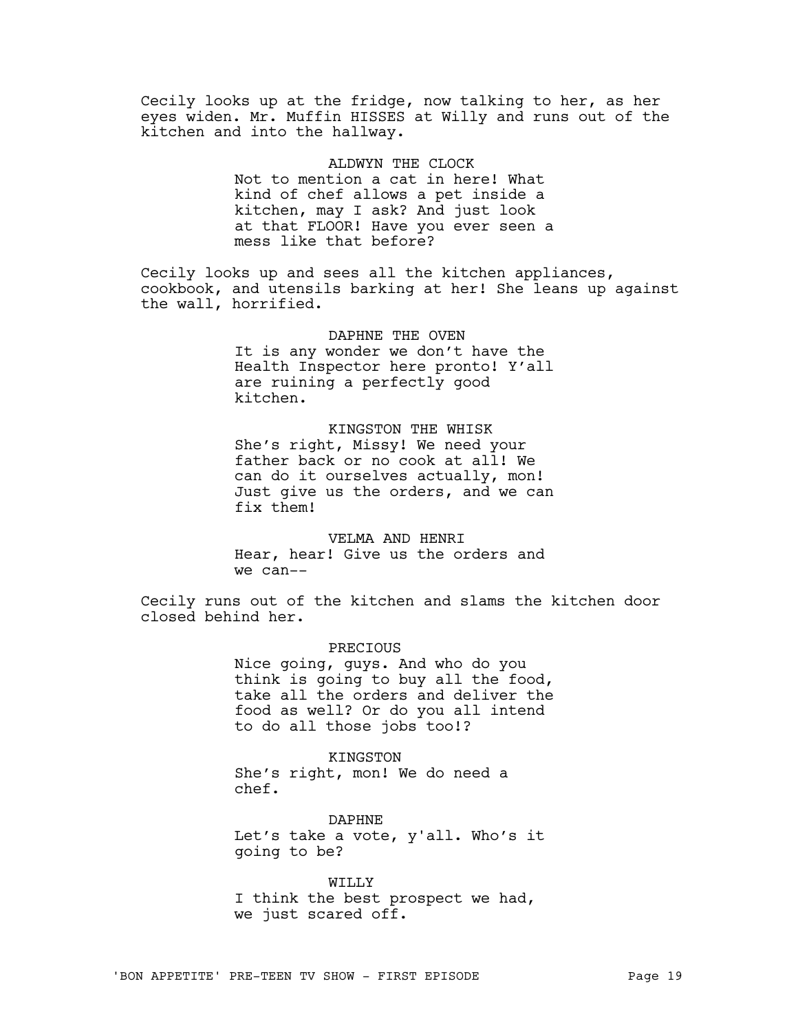Cecily looks up at the fridge, now talking to her, as her eyes widen. Mr. Muffin HISSES at Willy and runs out of the kitchen and into the hallway.

> ALDWYN THE CLOCK Not to mention a cat in here! What kind of chef allows a pet inside a kitchen, may I ask? And just look at that FLOOR! Have you ever seen a mess like that before?

Cecily looks up and sees all the kitchen appliances, cookbook, and utensils barking at her! She leans up against the wall, horrified.

> DAPHNE THE OVEN It is any wonder we don't have the Health Inspector here pronto! Y'all are ruining a perfectly good kitchen.

> KINGSTON THE WHISK She's right, Missy! We need your father back or no cook at all! We can do it ourselves actually, mon! Just give us the orders, and we can fix them!

VELMA AND HENRI Hear, hear! Give us the orders and we can--

Cecily runs out of the kitchen and slams the kitchen door closed behind her.

> **PRECTOUS** Nice going, guys. And who do you think is going to buy all the food,

> take all the orders and deliver the food as well? Or do you all intend to do all those jobs too!?

KINGSTON She's right, mon! We do need a chef.

DAPHNE Let's take a vote, y'all. Who's it going to be?

WILLY I think the best prospect we had, we just scared off.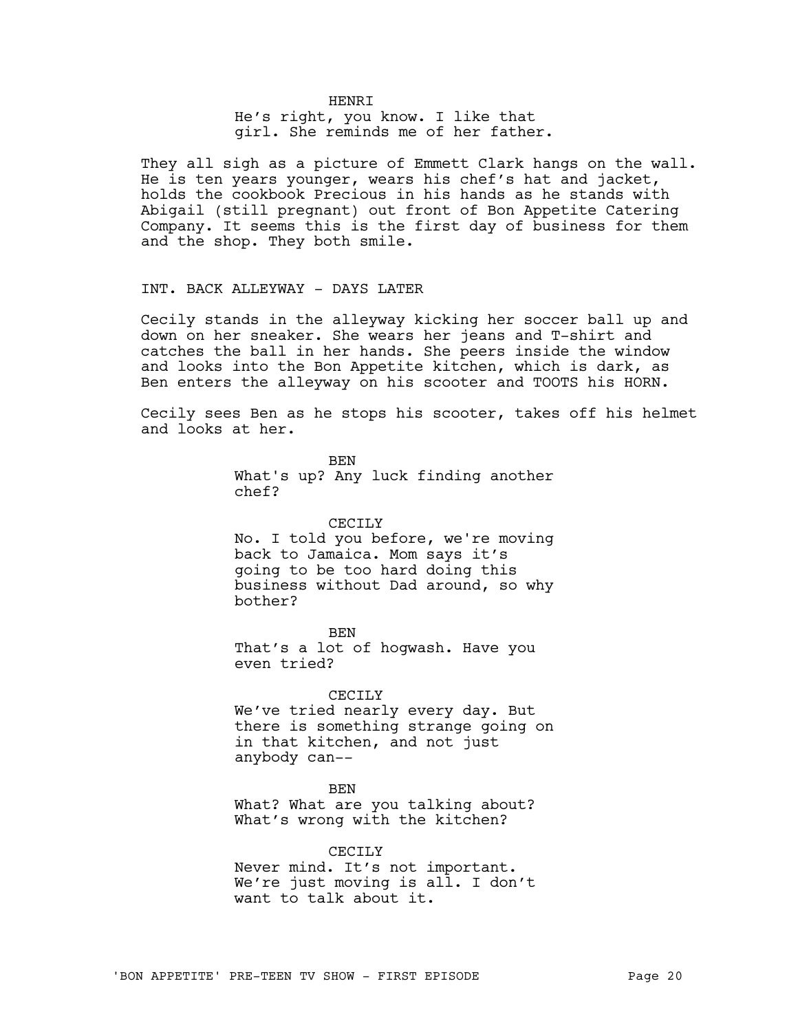### **HENRT**

He's right, you know. I like that girl. She reminds me of her father.

They all sigh as a picture of Emmett Clark hangs on the wall. He is ten years younger, wears his chef's hat and jacket, holds the cookbook Precious in his hands as he stands with Abigail (still pregnant) out front of Bon Appetite Catering Company. It seems this is the first day of business for them and the shop. They both smile.

# INT. BACK ALLEYWAY - DAYS LATER

Cecily stands in the alleyway kicking her soccer ball up and down on her sneaker. She wears her jeans and T-shirt and catches the ball in her hands. She peers inside the window and looks into the Bon Appetite kitchen, which is dark, as Ben enters the alleyway on his scooter and TOOTS his HORN.

Cecily sees Ben as he stops his scooter, takes off his helmet and looks at her.

> BEN What's up? Any luck finding another chef?

## CECILY

No. I told you before, we're moving back to Jamaica. Mom says it's going to be too hard doing this business without Dad around, so why bother?

BEN That's a lot of hogwash. Have you even tried?

### CECILY

We've tried nearly every day. But there is something strange going on in that kitchen, and not just anybody can--

### **BEN**

What? What are you talking about? What's wrong with the kitchen?

CECILY Never mind. It's not important. We're just moving is all. I don't want to talk about it.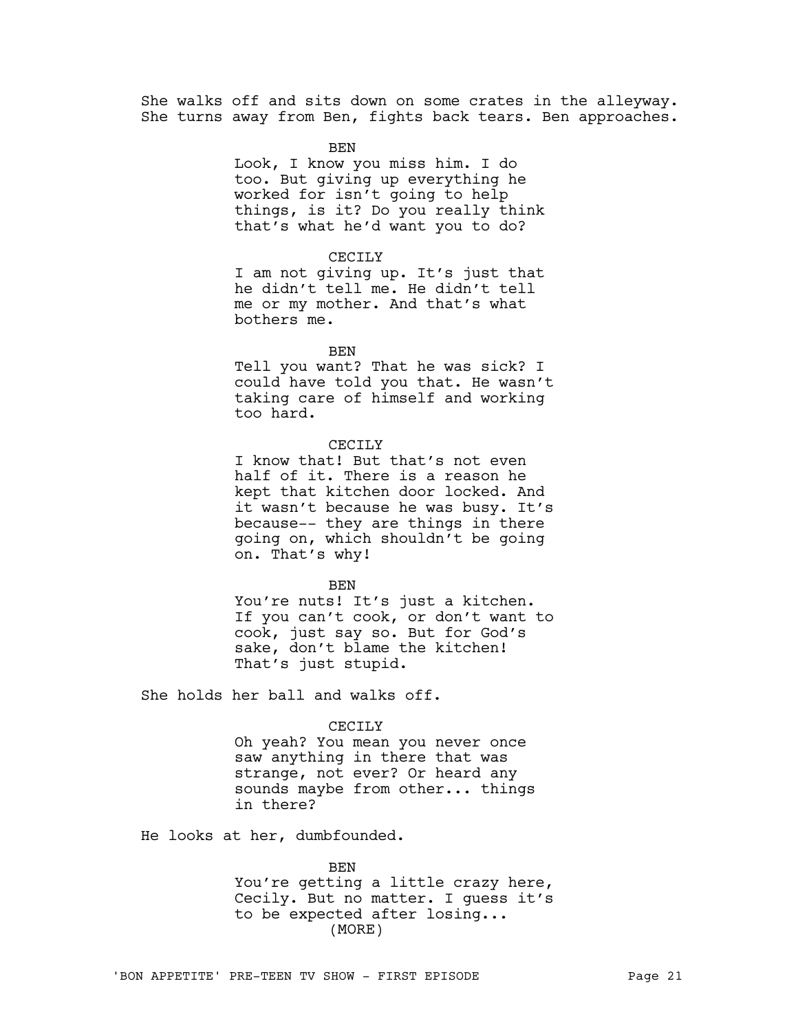She walks off and sits down on some crates in the alleyway. She turns away from Ben, fights back tears. Ben approaches.

BEN

Look, I know you miss him. I do too. But giving up everything he worked for isn't going to help things, is it? Do you really think that's what he'd want you to do?

#### CECILY

I am not giving up. It's just that he didn't tell me. He didn't tell me or my mother. And that's what bothers me.

BEN

Tell you want? That he was sick? I could have told you that. He wasn't taking care of himself and working too hard.

# CECTLY

I know that! But that's not even half of it. There is a reason he kept that kitchen door locked. And it wasn't because he was busy. It's because-- they are things in there going on, which shouldn't be going on. That's why!

BEN

You're nuts! It's just a kitchen. If you can't cook, or don't want to cook, just say so. But for God's sake, don't blame the kitchen! That's just stupid.

She holds her ball and walks off.

#### CECILY

Oh yeah? You mean you never once saw anything in there that was strange, not ever? Or heard any sounds maybe from other... things in there?

He looks at her, dumbfounded.

BEN You're getting a little crazy here, Cecily. But no matter. I guess it's to be expected after losing... (MORE)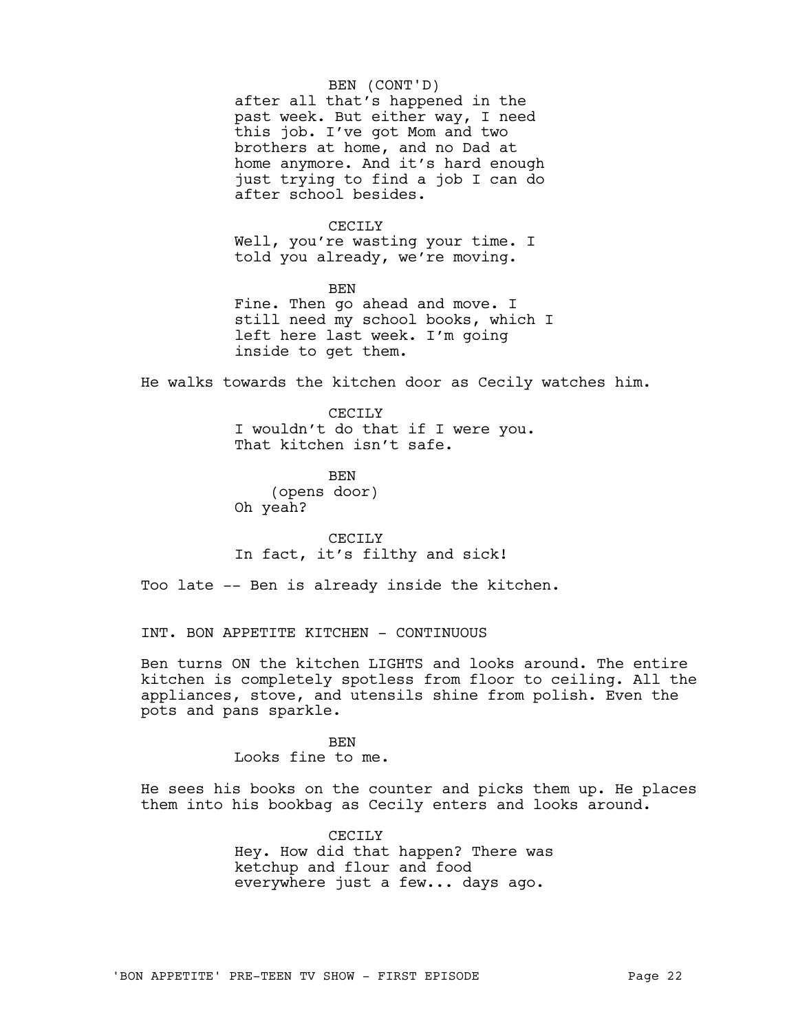# BEN (CONT'D)

after all that's happened in the past week. But either way, I need this job. I've got Mom and two brothers at home, and no Dad at home anymore. And it's hard enough just trying to find a job I can do after school besides.

### CECTLY

Well, you're wasting your time. I told you already, we're moving.

BEN Fine. Then go ahead and move. I still need my school books, which I left here last week. I'm going inside to get them.

He walks towards the kitchen door as Cecily watches him.

CECTLY I wouldn't do that if I were you. That kitchen isn't safe.

**BEN** (opens door) Oh yeah?

CECILY In fact, it's filthy and sick!

Too late -- Ben is already inside the kitchen.

INT. BON APPETITE KITCHEN - CONTINUOUS

Ben turns ON the kitchen LIGHTS and looks around. The entire kitchen is completely spotless from floor to ceiling. All the appliances, stove, and utensils shine from polish. Even the pots and pans sparkle.

> BEN Looks fine to me.

He sees his books on the counter and picks them up. He places them into his bookbag as Cecily enters and looks around.

> CECILY Hey. How did that happen? There was ketchup and flour and food everywhere just a few... days ago.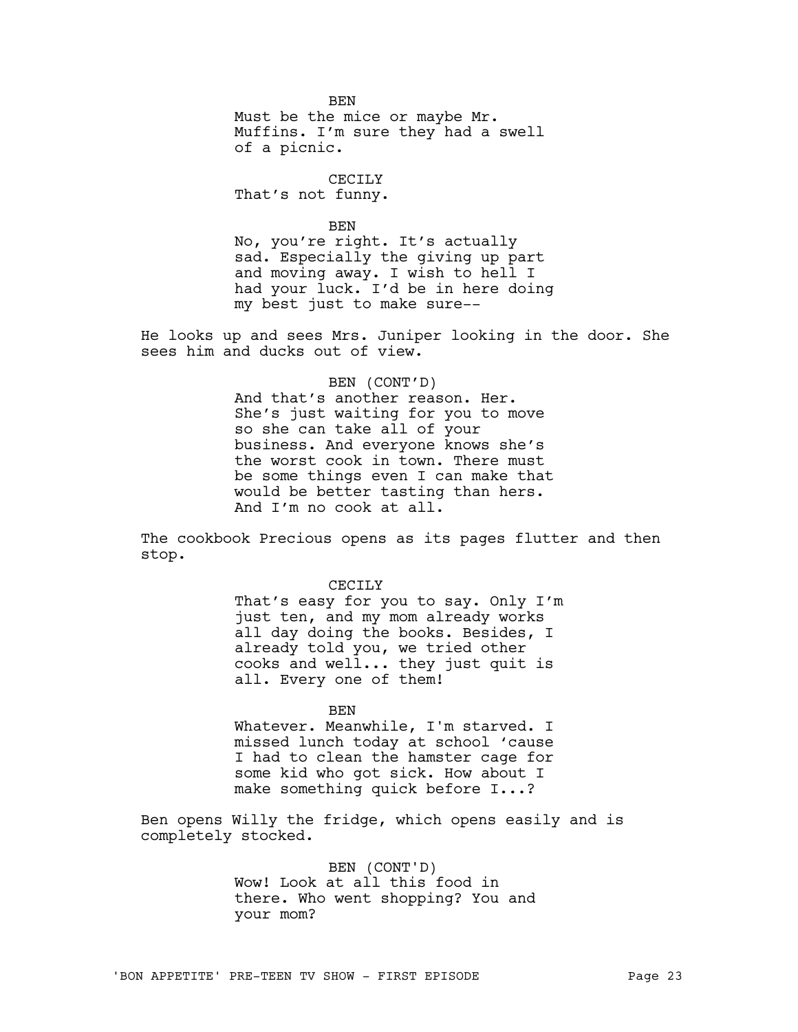**BEN** Must be the mice or maybe Mr. Muffins. I'm sure they had a swell of a picnic.

CECILY That's not funny.

BEN

No, you're right. It's actually sad. Especially the giving up part and moving away. I wish to hell I had your luck. I'd be in here doing my best just to make sure--

He looks up and sees Mrs. Juniper looking in the door. She sees him and ducks out of view.

BEN (CONT'D)

And that's another reason. Her. She's just waiting for you to move so she can take all of your business. And everyone knows she's the worst cook in town. There must be some things even I can make that would be better tasting than hers. And I'm no cook at all.

The cookbook Precious opens as its pages flutter and then stop.

> CECTLY That's easy for you to say. Only I'm just ten, and my mom already works all day doing the books. Besides, I already told you, we tried other cooks and well... they just quit is all. Every one of them!

> > BEN

Whatever. Meanwhile, I'm starved. I missed lunch today at school 'cause I had to clean the hamster cage for some kid who got sick. How about I make something quick before I...?

Ben opens Willy the fridge, which opens easily and is completely stocked.

> BEN (CONT'D) Wow! Look at all this food in there. Who went shopping? You and your mom?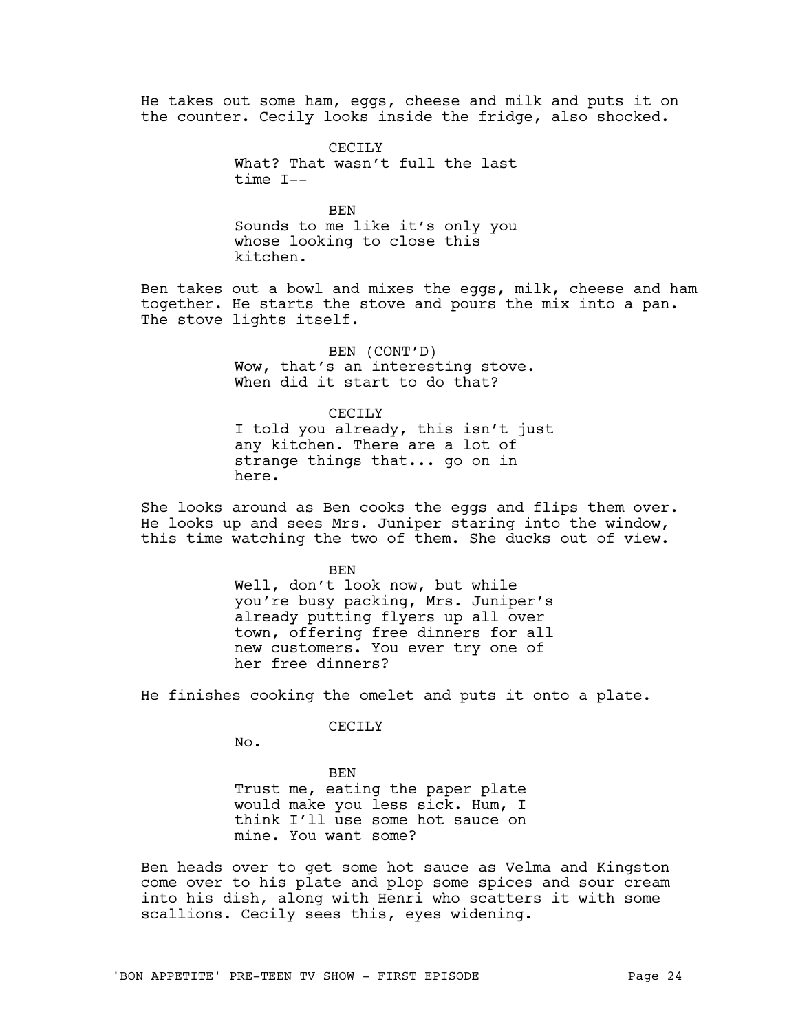He takes out some ham, eggs, cheese and milk and puts it on the counter. Cecily looks inside the fridge, also shocked.

> CECILY What? That wasn't full the last time I--

> BEN Sounds to me like it's only you whose looking to close this kitchen.

Ben takes out a bowl and mixes the eggs, milk, cheese and ham together. He starts the stove and pours the mix into a pan. The stove lights itself.

> BEN (CONT'D) Wow, that's an interesting stove. When did it start to do that?

> > CECILY

I told you already, this isn't just any kitchen. There are a lot of strange things that... go on in here.

She looks around as Ben cooks the eggs and flips them over. He looks up and sees Mrs. Juniper staring into the window, this time watching the two of them. She ducks out of view.

> **BEN** Well, don't look now, but while you're busy packing, Mrs. Juniper's already putting flyers up all over town, offering free dinners for all new customers. You ever try one of her free dinners?

He finishes cooking the omelet and puts it onto a plate.

#### CECILY

No.

BEN Trust me, eating the paper plate would make you less sick. Hum, I think I'll use some hot sauce on mine. You want some?

Ben heads over to get some hot sauce as Velma and Kingston come over to his plate and plop some spices and sour cream into his dish, along with Henri who scatters it with some scallions. Cecily sees this, eyes widening.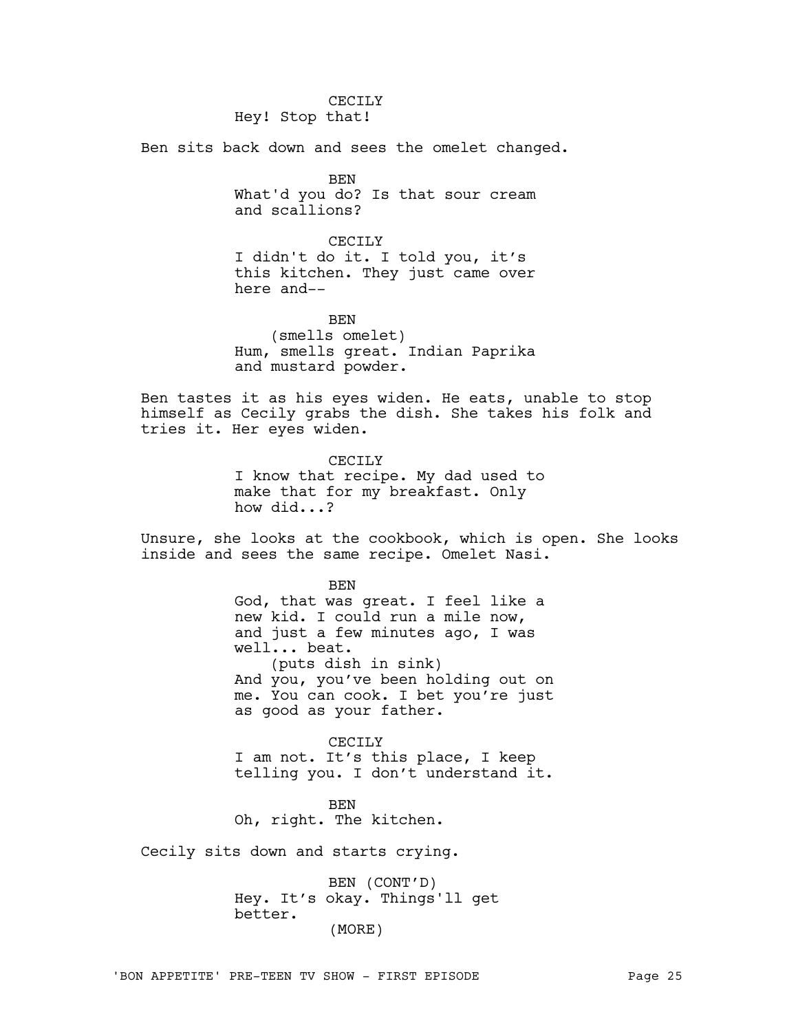CECILY Hey! Stop that!

Ben sits back down and sees the omelet changed.

BEN What'd you do? Is that sour cream and scallions?

CECTLY I didn't do it. I told you, it's this kitchen. They just came over here and--

BEN (smells omelet) Hum, smells great. Indian Paprika and mustard powder.

Ben tastes it as his eyes widen. He eats, unable to stop himself as Cecily grabs the dish. She takes his folk and tries it. Her eyes widen.

> CECILY I know that recipe. My dad used to make that for my breakfast. Only how did...?

Unsure, she looks at the cookbook, which is open. She looks inside and sees the same recipe. Omelet Nasi.

> **BEN** God, that was great. I feel like a new kid. I could run a mile now, and just a few minutes ago, I was well... beat. (puts dish in sink) And you, you've been holding out on me. You can cook. I bet you're just as good as your father.

CECILY I am not. It's this place, I keep telling you. I don't understand it.

BEN Oh, right. The kitchen.

Cecily sits down and starts crying.

BEN (CONT'D) Hey. It's okay. Things'll get better. (MORE)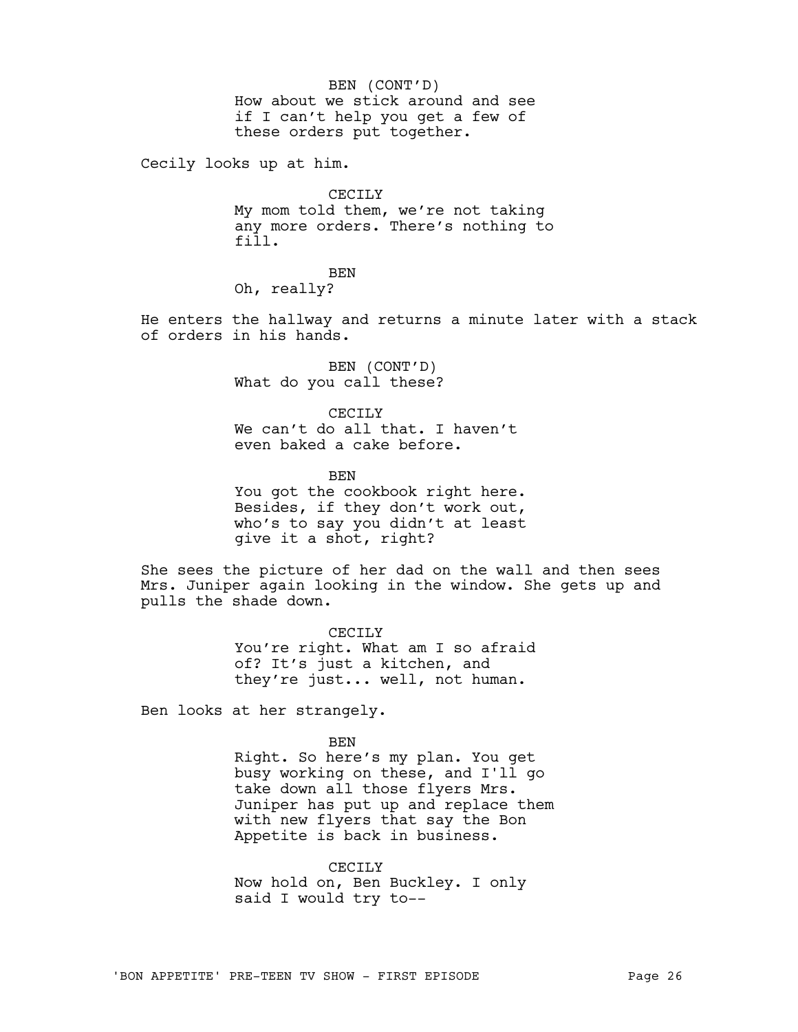How about we stick around and see if I can't help you get a few of these orders put together. BEN (CONT'D)

Cecily looks up at him.

CECILY

My mom told them, we're not taking any more orders. There's nothing to fill.

**BEN** 

Oh, really?

He enters the hallway and returns a minute later with a stack of orders in his hands.

> BEN (CONT'D) What do you call these?

CECTLY We can't do all that. I haven't even baked a cake before.

**BEN** You got the cookbook right here. Besides, if they don't work out, who's to say you didn't at least give it a shot, right?

She sees the picture of her dad on the wall and then sees Mrs. Juniper again looking in the window. She gets up and pulls the shade down.

> CECILY You're right. What am I so afraid of? It's just a kitchen, and they're just... well, not human.

Ben looks at her strangely.

BEN Right. So here's my plan. You get busy working on these, and I'll go take down all those flyers Mrs. Juniper has put up and replace them with new flyers that say the Bon Appetite is back in business.

CECILY Now hold on, Ben Buckley. I only said I would try to--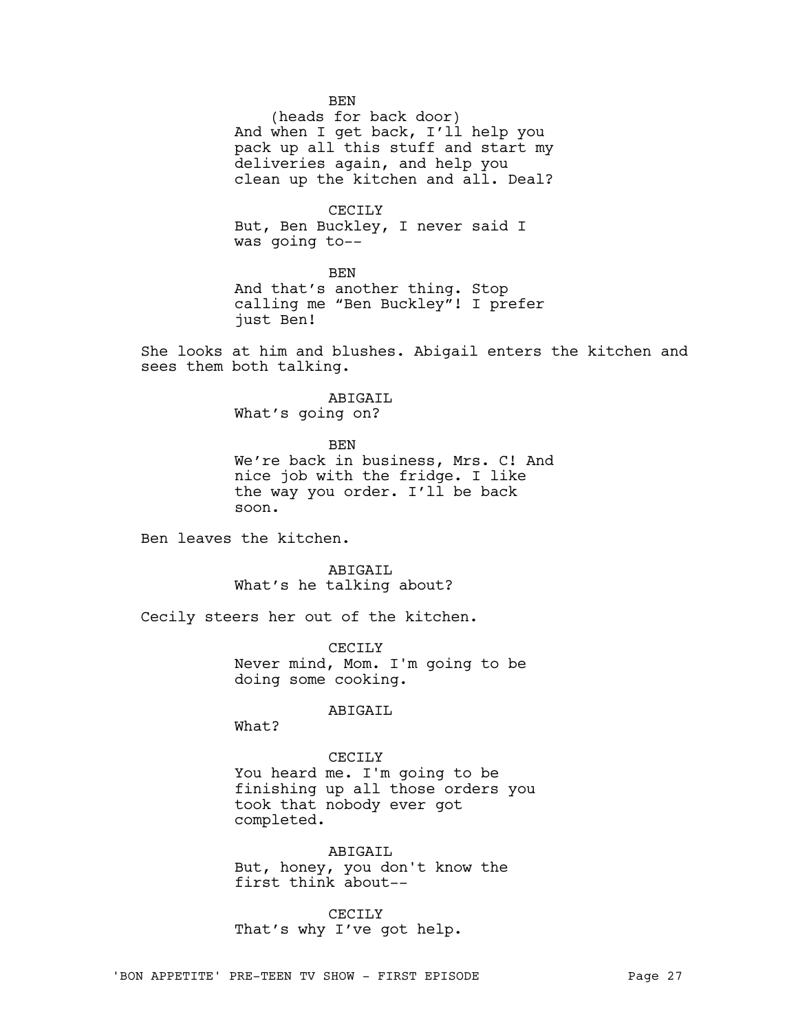**BEN** 

(heads for back door) And when I get back, I'll help you pack up all this stuff and start my deliveries again, and help you clean up the kitchen and all. Deal?

CECILY But, Ben Buckley, I never said I was going to--

BEN And that's another thing. Stop calling me "Ben Buckley"! I prefer just Ben!

She looks at him and blushes. Abigail enters the kitchen and sees them both talking.

> ABIGAIL What's going on?

**BEN** We're back in business, Mrs. C! And nice job with the fridge. I like the way you order. I'll be back soon.

Ben leaves the kitchen.

ABIGAIL What's he talking about?

Cecily steers her out of the kitchen.

CECILY Never mind, Mom. I'm going to be doing some cooking.

ABIGAIL

What?

CECILY You heard me. I'm going to be finishing up all those orders you took that nobody ever got completed.

ABIGAIL But, honey, you don't know the first think about--

CECILY That's why I've got help.

'BON APPETITE' PRE-TEEN TV SHOW - FIRST EPISODE PAGE 27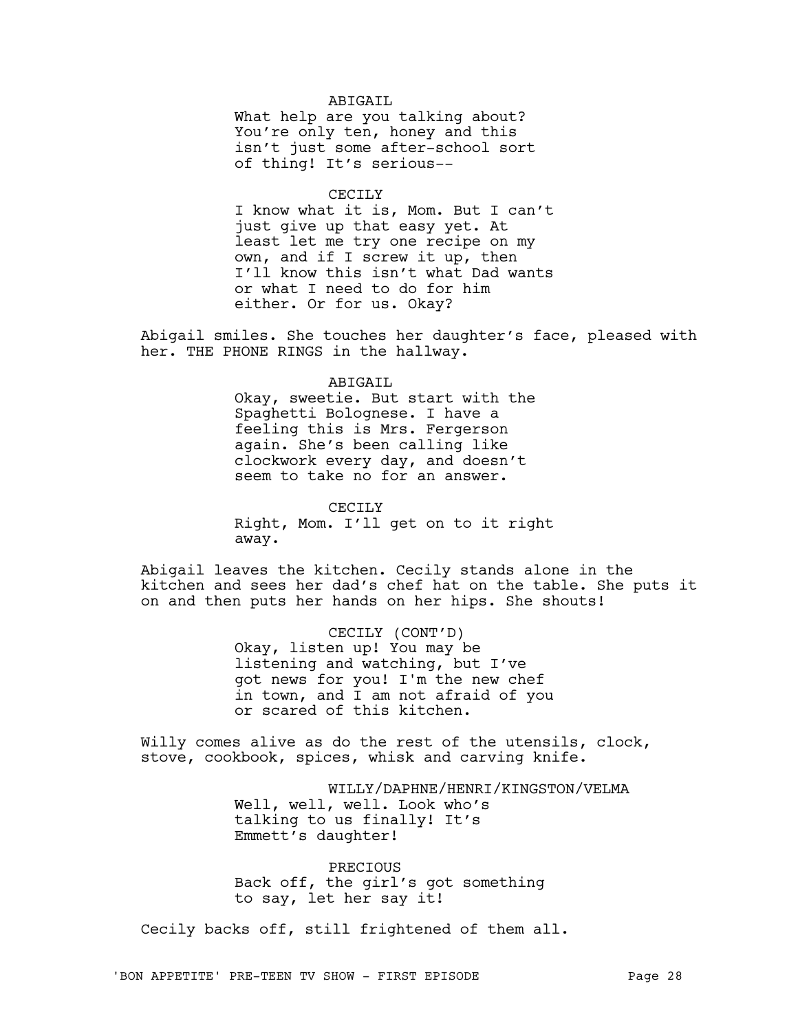## ABIGAIL

What help are you talking about? You're only ten, honey and this isn't just some after-school sort of thing! It's serious--

## CECILY

I know what it is, Mom. But I can't just give up that easy yet. At least let me try one recipe on my own, and if I screw it up, then I'll know this isn't what Dad wants or what I need to do for him either. Or for us. Okay?

Abigail smiles. She touches her daughter's face, pleased with her. THE PHONE RINGS in the hallway.

#### ABIGAIL

Okay, sweetie. But start with the Spaghetti Bolognese. I have a feeling this is Mrs. Fergerson again. She's been calling like clockwork every day, and doesn't seem to take no for an answer.

CECILY

Right, Mom. I'll get on to it right away.

Abigail leaves the kitchen. Cecily stands alone in the kitchen and sees her dad's chef hat on the table. She puts it on and then puts her hands on her hips. She shouts!

> CECILY (CONT'D) Okay, listen up! You may be listening and watching, but I've got news for you! I'm the new chef in town, and I am not afraid of you or scared of this kitchen.

Willy comes alive as do the rest of the utensils, clock, stove, cookbook, spices, whisk and carving knife.

> WILLY/DAPHNE/HENRI/KINGSTON/VELMA Well, well, well. Look who's talking to us finally! It's Emmett's daughter!

PRECIOUS Back off, the girl's got something to say, let her say it!

Cecily backs off, still frightened of them all.

'BON APPETITE' PRE-TEEN TV SHOW - FIRST EPISODE PAGE 28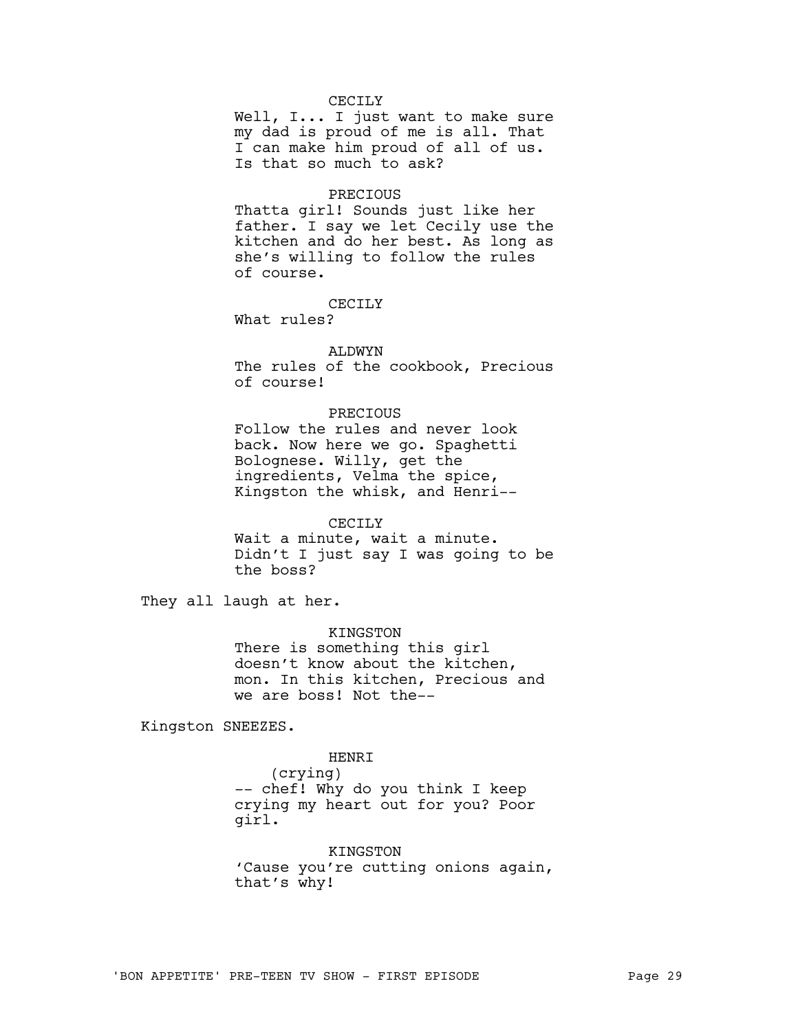# CECTLY

Well, I... I just want to make sure my dad is proud of me is all. That I can make him proud of all of us. Is that so much to ask?

### PRECIOUS

Thatta girl! Sounds just like her father. I say we let Cecily use the kitchen and do her best. As long as she's willing to follow the rules of course.

# CECTLY

What rules?

### ALDWYN

The rules of the cookbook, Precious of course!

## PRECIOUS

Follow the rules and never look back. Now here we go. Spaghetti Bolognese. Willy, get the ingredients, Velma the spice, Kingston the whisk, and Henri--

## CECILY

Wait a minute, wait a minute. Didn't I just say I was going to be the boss?

They all laugh at her.

# KINGSTON

There is something this girl doesn't know about the kitchen, mon. In this kitchen, Precious and we are boss! Not the--

Kingston SNEEZES.

# HENRI

(crying) -- chef! Why do you think I keep crying my heart out for you? Poor girl.

KINGSTON 'Cause you're cutting onions again, that's why!